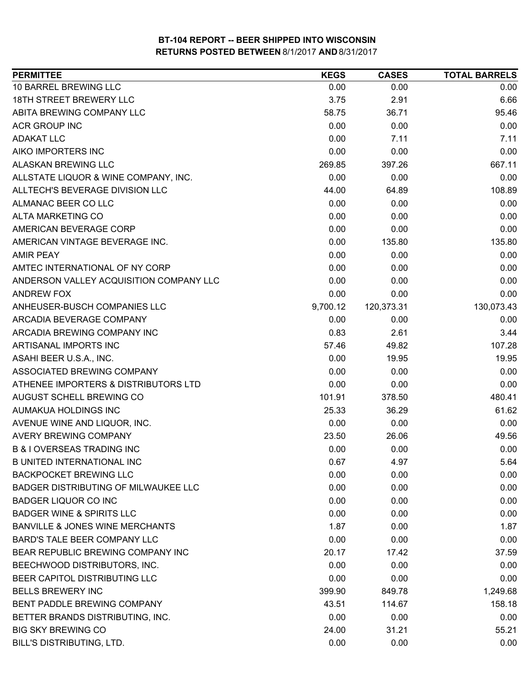| 10 BARREL BREWING LLC<br>0.00<br>0.00<br>0.00<br>18TH STREET BREWERY LLC<br>3.75<br>2.91<br>6.66<br>ABITA BREWING COMPANY LLC<br>36.71<br>95.46<br>58.75<br><b>ACR GROUP INC</b><br>0.00<br>0.00<br>0.00<br><b>ADAKAT LLC</b><br>0.00<br>7.11<br>7.11<br>AIKO IMPORTERS INC<br>0.00<br>0.00<br>0.00<br>ALASKAN BREWING LLC<br>667.11<br>269.85<br>397.26<br>ALLSTATE LIQUOR & WINE COMPANY, INC.<br>0.00<br>0.00<br>0.00<br>ALLTECH'S BEVERAGE DIVISION LLC<br>44.00<br>64.89<br>108.89<br>ALMANAC BEER CO LLC<br>0.00<br>0.00<br>0.00<br><b>ALTA MARKETING CO</b><br>0.00<br>0.00<br>0.00<br>AMERICAN BEVERAGE CORP<br>0.00<br>0.00<br>0.00<br>0.00<br>135.80<br>135.80<br>AMERICAN VINTAGE BEVERAGE INC.<br>0.00<br>0.00<br>0.00<br><b>AMIR PEAY</b><br>AMTEC INTERNATIONAL OF NY CORP<br>0.00<br>0.00<br>0.00<br>ANDERSON VALLEY ACQUISITION COMPANY LLC<br>0.00<br>0.00<br>0.00<br><b>ANDREW FOX</b><br>0.00<br>0.00<br>0.00<br>ANHEUSER-BUSCH COMPANIES LLC<br>9,700.12<br>120,373.31<br>130,073.43<br>ARCADIA BEVERAGE COMPANY<br>0.00<br>0.00<br>0.00<br>ARCADIA BREWING COMPANY INC<br>0.83<br>2.61<br>3.44<br>ARTISANAL IMPORTS INC<br>49.82<br>107.28<br>57.46<br>ASAHI BEER U.S.A., INC.<br>0.00<br>19.95<br>19.95<br>ASSOCIATED BREWING COMPANY<br>0.00<br>0.00<br>0.00<br>ATHENEE IMPORTERS & DISTRIBUTORS LTD<br>0.00<br>0.00<br>0.00<br>AUGUST SCHELL BREWING CO<br>101.91<br>378.50<br>480.41<br>AUMAKUA HOLDINGS INC<br>25.33<br>61.62<br>36.29<br>AVENUE WINE AND LIQUOR, INC.<br>0.00<br>0.00<br>0.00<br><b>AVERY BREWING COMPANY</b><br>49.56<br>23.50<br>26.06<br><b>B &amp; I OVERSEAS TRADING INC</b><br>0.00<br>0.00<br>0.00<br><b>B UNITED INTERNATIONAL INC</b><br>0.67<br>4.97<br>5.64<br><b>BACKPOCKET BREWING LLC</b><br>0.00<br>0.00<br>0.00<br>BADGER DISTRIBUTING OF MILWAUKEE LLC<br>0.00<br>0.00<br>0.00<br><b>BADGER LIQUOR CO INC</b><br>0.00<br>0.00<br>0.00<br><b>BADGER WINE &amp; SPIRITS LLC</b><br>0.00<br>0.00<br>0.00<br><b>BANVILLE &amp; JONES WINE MERCHANTS</b><br>1.87<br>0.00<br>1.87<br>BARD'S TALE BEER COMPANY LLC<br>0.00<br>0.00<br>0.00<br>BEAR REPUBLIC BREWING COMPANY INC<br>20.17<br>37.59<br>17.42<br>BEECHWOOD DISTRIBUTORS, INC.<br>0.00<br>0.00<br>0.00<br>BEER CAPITOL DISTRIBUTING LLC<br>0.00<br>0.00<br>0.00<br><b>BELLS BREWERY INC</b><br>399.90<br>849.78<br>1,249.68<br>BENT PADDLE BREWING COMPANY<br>43.51<br>114.67<br>158.18<br>BETTER BRANDS DISTRIBUTING, INC.<br>0.00<br>0.00<br>0.00<br><b>BIG SKY BREWING CO</b><br>24.00<br>31.21<br>55.21<br>BILL'S DISTRIBUTING, LTD.<br>0.00<br>0.00<br>0.00 | <b>PERMITTEE</b> | <b>KEGS</b> | <b>CASES</b> | <b>TOTAL BARRELS</b> |
|-----------------------------------------------------------------------------------------------------------------------------------------------------------------------------------------------------------------------------------------------------------------------------------------------------------------------------------------------------------------------------------------------------------------------------------------------------------------------------------------------------------------------------------------------------------------------------------------------------------------------------------------------------------------------------------------------------------------------------------------------------------------------------------------------------------------------------------------------------------------------------------------------------------------------------------------------------------------------------------------------------------------------------------------------------------------------------------------------------------------------------------------------------------------------------------------------------------------------------------------------------------------------------------------------------------------------------------------------------------------------------------------------------------------------------------------------------------------------------------------------------------------------------------------------------------------------------------------------------------------------------------------------------------------------------------------------------------------------------------------------------------------------------------------------------------------------------------------------------------------------------------------------------------------------------------------------------------------------------------------------------------------------------------------------------------------------------------------------------------------------------------------------------------------------------------------------------------------------------------------------------------------------------------------------------------------------------------------------------------------------------------------------------------------------------------------------------------------------------------------------------------------------------------------------------------------------------------|------------------|-------------|--------------|----------------------|
|                                                                                                                                                                                                                                                                                                                                                                                                                                                                                                                                                                                                                                                                                                                                                                                                                                                                                                                                                                                                                                                                                                                                                                                                                                                                                                                                                                                                                                                                                                                                                                                                                                                                                                                                                                                                                                                                                                                                                                                                                                                                                                                                                                                                                                                                                                                                                                                                                                                                                                                                                                                   |                  |             |              |                      |
|                                                                                                                                                                                                                                                                                                                                                                                                                                                                                                                                                                                                                                                                                                                                                                                                                                                                                                                                                                                                                                                                                                                                                                                                                                                                                                                                                                                                                                                                                                                                                                                                                                                                                                                                                                                                                                                                                                                                                                                                                                                                                                                                                                                                                                                                                                                                                                                                                                                                                                                                                                                   |                  |             |              |                      |
|                                                                                                                                                                                                                                                                                                                                                                                                                                                                                                                                                                                                                                                                                                                                                                                                                                                                                                                                                                                                                                                                                                                                                                                                                                                                                                                                                                                                                                                                                                                                                                                                                                                                                                                                                                                                                                                                                                                                                                                                                                                                                                                                                                                                                                                                                                                                                                                                                                                                                                                                                                                   |                  |             |              |                      |
|                                                                                                                                                                                                                                                                                                                                                                                                                                                                                                                                                                                                                                                                                                                                                                                                                                                                                                                                                                                                                                                                                                                                                                                                                                                                                                                                                                                                                                                                                                                                                                                                                                                                                                                                                                                                                                                                                                                                                                                                                                                                                                                                                                                                                                                                                                                                                                                                                                                                                                                                                                                   |                  |             |              |                      |
|                                                                                                                                                                                                                                                                                                                                                                                                                                                                                                                                                                                                                                                                                                                                                                                                                                                                                                                                                                                                                                                                                                                                                                                                                                                                                                                                                                                                                                                                                                                                                                                                                                                                                                                                                                                                                                                                                                                                                                                                                                                                                                                                                                                                                                                                                                                                                                                                                                                                                                                                                                                   |                  |             |              |                      |
|                                                                                                                                                                                                                                                                                                                                                                                                                                                                                                                                                                                                                                                                                                                                                                                                                                                                                                                                                                                                                                                                                                                                                                                                                                                                                                                                                                                                                                                                                                                                                                                                                                                                                                                                                                                                                                                                                                                                                                                                                                                                                                                                                                                                                                                                                                                                                                                                                                                                                                                                                                                   |                  |             |              |                      |
|                                                                                                                                                                                                                                                                                                                                                                                                                                                                                                                                                                                                                                                                                                                                                                                                                                                                                                                                                                                                                                                                                                                                                                                                                                                                                                                                                                                                                                                                                                                                                                                                                                                                                                                                                                                                                                                                                                                                                                                                                                                                                                                                                                                                                                                                                                                                                                                                                                                                                                                                                                                   |                  |             |              |                      |
|                                                                                                                                                                                                                                                                                                                                                                                                                                                                                                                                                                                                                                                                                                                                                                                                                                                                                                                                                                                                                                                                                                                                                                                                                                                                                                                                                                                                                                                                                                                                                                                                                                                                                                                                                                                                                                                                                                                                                                                                                                                                                                                                                                                                                                                                                                                                                                                                                                                                                                                                                                                   |                  |             |              |                      |
|                                                                                                                                                                                                                                                                                                                                                                                                                                                                                                                                                                                                                                                                                                                                                                                                                                                                                                                                                                                                                                                                                                                                                                                                                                                                                                                                                                                                                                                                                                                                                                                                                                                                                                                                                                                                                                                                                                                                                                                                                                                                                                                                                                                                                                                                                                                                                                                                                                                                                                                                                                                   |                  |             |              |                      |
|                                                                                                                                                                                                                                                                                                                                                                                                                                                                                                                                                                                                                                                                                                                                                                                                                                                                                                                                                                                                                                                                                                                                                                                                                                                                                                                                                                                                                                                                                                                                                                                                                                                                                                                                                                                                                                                                                                                                                                                                                                                                                                                                                                                                                                                                                                                                                                                                                                                                                                                                                                                   |                  |             |              |                      |
|                                                                                                                                                                                                                                                                                                                                                                                                                                                                                                                                                                                                                                                                                                                                                                                                                                                                                                                                                                                                                                                                                                                                                                                                                                                                                                                                                                                                                                                                                                                                                                                                                                                                                                                                                                                                                                                                                                                                                                                                                                                                                                                                                                                                                                                                                                                                                                                                                                                                                                                                                                                   |                  |             |              |                      |
|                                                                                                                                                                                                                                                                                                                                                                                                                                                                                                                                                                                                                                                                                                                                                                                                                                                                                                                                                                                                                                                                                                                                                                                                                                                                                                                                                                                                                                                                                                                                                                                                                                                                                                                                                                                                                                                                                                                                                                                                                                                                                                                                                                                                                                                                                                                                                                                                                                                                                                                                                                                   |                  |             |              |                      |
|                                                                                                                                                                                                                                                                                                                                                                                                                                                                                                                                                                                                                                                                                                                                                                                                                                                                                                                                                                                                                                                                                                                                                                                                                                                                                                                                                                                                                                                                                                                                                                                                                                                                                                                                                                                                                                                                                                                                                                                                                                                                                                                                                                                                                                                                                                                                                                                                                                                                                                                                                                                   |                  |             |              |                      |
|                                                                                                                                                                                                                                                                                                                                                                                                                                                                                                                                                                                                                                                                                                                                                                                                                                                                                                                                                                                                                                                                                                                                                                                                                                                                                                                                                                                                                                                                                                                                                                                                                                                                                                                                                                                                                                                                                                                                                                                                                                                                                                                                                                                                                                                                                                                                                                                                                                                                                                                                                                                   |                  |             |              |                      |
|                                                                                                                                                                                                                                                                                                                                                                                                                                                                                                                                                                                                                                                                                                                                                                                                                                                                                                                                                                                                                                                                                                                                                                                                                                                                                                                                                                                                                                                                                                                                                                                                                                                                                                                                                                                                                                                                                                                                                                                                                                                                                                                                                                                                                                                                                                                                                                                                                                                                                                                                                                                   |                  |             |              |                      |
|                                                                                                                                                                                                                                                                                                                                                                                                                                                                                                                                                                                                                                                                                                                                                                                                                                                                                                                                                                                                                                                                                                                                                                                                                                                                                                                                                                                                                                                                                                                                                                                                                                                                                                                                                                                                                                                                                                                                                                                                                                                                                                                                                                                                                                                                                                                                                                                                                                                                                                                                                                                   |                  |             |              |                      |
|                                                                                                                                                                                                                                                                                                                                                                                                                                                                                                                                                                                                                                                                                                                                                                                                                                                                                                                                                                                                                                                                                                                                                                                                                                                                                                                                                                                                                                                                                                                                                                                                                                                                                                                                                                                                                                                                                                                                                                                                                                                                                                                                                                                                                                                                                                                                                                                                                                                                                                                                                                                   |                  |             |              |                      |
|                                                                                                                                                                                                                                                                                                                                                                                                                                                                                                                                                                                                                                                                                                                                                                                                                                                                                                                                                                                                                                                                                                                                                                                                                                                                                                                                                                                                                                                                                                                                                                                                                                                                                                                                                                                                                                                                                                                                                                                                                                                                                                                                                                                                                                                                                                                                                                                                                                                                                                                                                                                   |                  |             |              |                      |
|                                                                                                                                                                                                                                                                                                                                                                                                                                                                                                                                                                                                                                                                                                                                                                                                                                                                                                                                                                                                                                                                                                                                                                                                                                                                                                                                                                                                                                                                                                                                                                                                                                                                                                                                                                                                                                                                                                                                                                                                                                                                                                                                                                                                                                                                                                                                                                                                                                                                                                                                                                                   |                  |             |              |                      |
|                                                                                                                                                                                                                                                                                                                                                                                                                                                                                                                                                                                                                                                                                                                                                                                                                                                                                                                                                                                                                                                                                                                                                                                                                                                                                                                                                                                                                                                                                                                                                                                                                                                                                                                                                                                                                                                                                                                                                                                                                                                                                                                                                                                                                                                                                                                                                                                                                                                                                                                                                                                   |                  |             |              |                      |
|                                                                                                                                                                                                                                                                                                                                                                                                                                                                                                                                                                                                                                                                                                                                                                                                                                                                                                                                                                                                                                                                                                                                                                                                                                                                                                                                                                                                                                                                                                                                                                                                                                                                                                                                                                                                                                                                                                                                                                                                                                                                                                                                                                                                                                                                                                                                                                                                                                                                                                                                                                                   |                  |             |              |                      |
|                                                                                                                                                                                                                                                                                                                                                                                                                                                                                                                                                                                                                                                                                                                                                                                                                                                                                                                                                                                                                                                                                                                                                                                                                                                                                                                                                                                                                                                                                                                                                                                                                                                                                                                                                                                                                                                                                                                                                                                                                                                                                                                                                                                                                                                                                                                                                                                                                                                                                                                                                                                   |                  |             |              |                      |
|                                                                                                                                                                                                                                                                                                                                                                                                                                                                                                                                                                                                                                                                                                                                                                                                                                                                                                                                                                                                                                                                                                                                                                                                                                                                                                                                                                                                                                                                                                                                                                                                                                                                                                                                                                                                                                                                                                                                                                                                                                                                                                                                                                                                                                                                                                                                                                                                                                                                                                                                                                                   |                  |             |              |                      |
|                                                                                                                                                                                                                                                                                                                                                                                                                                                                                                                                                                                                                                                                                                                                                                                                                                                                                                                                                                                                                                                                                                                                                                                                                                                                                                                                                                                                                                                                                                                                                                                                                                                                                                                                                                                                                                                                                                                                                                                                                                                                                                                                                                                                                                                                                                                                                                                                                                                                                                                                                                                   |                  |             |              |                      |
|                                                                                                                                                                                                                                                                                                                                                                                                                                                                                                                                                                                                                                                                                                                                                                                                                                                                                                                                                                                                                                                                                                                                                                                                                                                                                                                                                                                                                                                                                                                                                                                                                                                                                                                                                                                                                                                                                                                                                                                                                                                                                                                                                                                                                                                                                                                                                                                                                                                                                                                                                                                   |                  |             |              |                      |
|                                                                                                                                                                                                                                                                                                                                                                                                                                                                                                                                                                                                                                                                                                                                                                                                                                                                                                                                                                                                                                                                                                                                                                                                                                                                                                                                                                                                                                                                                                                                                                                                                                                                                                                                                                                                                                                                                                                                                                                                                                                                                                                                                                                                                                                                                                                                                                                                                                                                                                                                                                                   |                  |             |              |                      |
|                                                                                                                                                                                                                                                                                                                                                                                                                                                                                                                                                                                                                                                                                                                                                                                                                                                                                                                                                                                                                                                                                                                                                                                                                                                                                                                                                                                                                                                                                                                                                                                                                                                                                                                                                                                                                                                                                                                                                                                                                                                                                                                                                                                                                                                                                                                                                                                                                                                                                                                                                                                   |                  |             |              |                      |
|                                                                                                                                                                                                                                                                                                                                                                                                                                                                                                                                                                                                                                                                                                                                                                                                                                                                                                                                                                                                                                                                                                                                                                                                                                                                                                                                                                                                                                                                                                                                                                                                                                                                                                                                                                                                                                                                                                                                                                                                                                                                                                                                                                                                                                                                                                                                                                                                                                                                                                                                                                                   |                  |             |              |                      |
|                                                                                                                                                                                                                                                                                                                                                                                                                                                                                                                                                                                                                                                                                                                                                                                                                                                                                                                                                                                                                                                                                                                                                                                                                                                                                                                                                                                                                                                                                                                                                                                                                                                                                                                                                                                                                                                                                                                                                                                                                                                                                                                                                                                                                                                                                                                                                                                                                                                                                                                                                                                   |                  |             |              |                      |
|                                                                                                                                                                                                                                                                                                                                                                                                                                                                                                                                                                                                                                                                                                                                                                                                                                                                                                                                                                                                                                                                                                                                                                                                                                                                                                                                                                                                                                                                                                                                                                                                                                                                                                                                                                                                                                                                                                                                                                                                                                                                                                                                                                                                                                                                                                                                                                                                                                                                                                                                                                                   |                  |             |              |                      |
|                                                                                                                                                                                                                                                                                                                                                                                                                                                                                                                                                                                                                                                                                                                                                                                                                                                                                                                                                                                                                                                                                                                                                                                                                                                                                                                                                                                                                                                                                                                                                                                                                                                                                                                                                                                                                                                                                                                                                                                                                                                                                                                                                                                                                                                                                                                                                                                                                                                                                                                                                                                   |                  |             |              |                      |
|                                                                                                                                                                                                                                                                                                                                                                                                                                                                                                                                                                                                                                                                                                                                                                                                                                                                                                                                                                                                                                                                                                                                                                                                                                                                                                                                                                                                                                                                                                                                                                                                                                                                                                                                                                                                                                                                                                                                                                                                                                                                                                                                                                                                                                                                                                                                                                                                                                                                                                                                                                                   |                  |             |              |                      |
|                                                                                                                                                                                                                                                                                                                                                                                                                                                                                                                                                                                                                                                                                                                                                                                                                                                                                                                                                                                                                                                                                                                                                                                                                                                                                                                                                                                                                                                                                                                                                                                                                                                                                                                                                                                                                                                                                                                                                                                                                                                                                                                                                                                                                                                                                                                                                                                                                                                                                                                                                                                   |                  |             |              |                      |
|                                                                                                                                                                                                                                                                                                                                                                                                                                                                                                                                                                                                                                                                                                                                                                                                                                                                                                                                                                                                                                                                                                                                                                                                                                                                                                                                                                                                                                                                                                                                                                                                                                                                                                                                                                                                                                                                                                                                                                                                                                                                                                                                                                                                                                                                                                                                                                                                                                                                                                                                                                                   |                  |             |              |                      |
|                                                                                                                                                                                                                                                                                                                                                                                                                                                                                                                                                                                                                                                                                                                                                                                                                                                                                                                                                                                                                                                                                                                                                                                                                                                                                                                                                                                                                                                                                                                                                                                                                                                                                                                                                                                                                                                                                                                                                                                                                                                                                                                                                                                                                                                                                                                                                                                                                                                                                                                                                                                   |                  |             |              |                      |
|                                                                                                                                                                                                                                                                                                                                                                                                                                                                                                                                                                                                                                                                                                                                                                                                                                                                                                                                                                                                                                                                                                                                                                                                                                                                                                                                                                                                                                                                                                                                                                                                                                                                                                                                                                                                                                                                                                                                                                                                                                                                                                                                                                                                                                                                                                                                                                                                                                                                                                                                                                                   |                  |             |              |                      |
|                                                                                                                                                                                                                                                                                                                                                                                                                                                                                                                                                                                                                                                                                                                                                                                                                                                                                                                                                                                                                                                                                                                                                                                                                                                                                                                                                                                                                                                                                                                                                                                                                                                                                                                                                                                                                                                                                                                                                                                                                                                                                                                                                                                                                                                                                                                                                                                                                                                                                                                                                                                   |                  |             |              |                      |
|                                                                                                                                                                                                                                                                                                                                                                                                                                                                                                                                                                                                                                                                                                                                                                                                                                                                                                                                                                                                                                                                                                                                                                                                                                                                                                                                                                                                                                                                                                                                                                                                                                                                                                                                                                                                                                                                                                                                                                                                                                                                                                                                                                                                                                                                                                                                                                                                                                                                                                                                                                                   |                  |             |              |                      |
|                                                                                                                                                                                                                                                                                                                                                                                                                                                                                                                                                                                                                                                                                                                                                                                                                                                                                                                                                                                                                                                                                                                                                                                                                                                                                                                                                                                                                                                                                                                                                                                                                                                                                                                                                                                                                                                                                                                                                                                                                                                                                                                                                                                                                                                                                                                                                                                                                                                                                                                                                                                   |                  |             |              |                      |
|                                                                                                                                                                                                                                                                                                                                                                                                                                                                                                                                                                                                                                                                                                                                                                                                                                                                                                                                                                                                                                                                                                                                                                                                                                                                                                                                                                                                                                                                                                                                                                                                                                                                                                                                                                                                                                                                                                                                                                                                                                                                                                                                                                                                                                                                                                                                                                                                                                                                                                                                                                                   |                  |             |              |                      |
|                                                                                                                                                                                                                                                                                                                                                                                                                                                                                                                                                                                                                                                                                                                                                                                                                                                                                                                                                                                                                                                                                                                                                                                                                                                                                                                                                                                                                                                                                                                                                                                                                                                                                                                                                                                                                                                                                                                                                                                                                                                                                                                                                                                                                                                                                                                                                                                                                                                                                                                                                                                   |                  |             |              |                      |
|                                                                                                                                                                                                                                                                                                                                                                                                                                                                                                                                                                                                                                                                                                                                                                                                                                                                                                                                                                                                                                                                                                                                                                                                                                                                                                                                                                                                                                                                                                                                                                                                                                                                                                                                                                                                                                                                                                                                                                                                                                                                                                                                                                                                                                                                                                                                                                                                                                                                                                                                                                                   |                  |             |              |                      |
|                                                                                                                                                                                                                                                                                                                                                                                                                                                                                                                                                                                                                                                                                                                                                                                                                                                                                                                                                                                                                                                                                                                                                                                                                                                                                                                                                                                                                                                                                                                                                                                                                                                                                                                                                                                                                                                                                                                                                                                                                                                                                                                                                                                                                                                                                                                                                                                                                                                                                                                                                                                   |                  |             |              |                      |
|                                                                                                                                                                                                                                                                                                                                                                                                                                                                                                                                                                                                                                                                                                                                                                                                                                                                                                                                                                                                                                                                                                                                                                                                                                                                                                                                                                                                                                                                                                                                                                                                                                                                                                                                                                                                                                                                                                                                                                                                                                                                                                                                                                                                                                                                                                                                                                                                                                                                                                                                                                                   |                  |             |              |                      |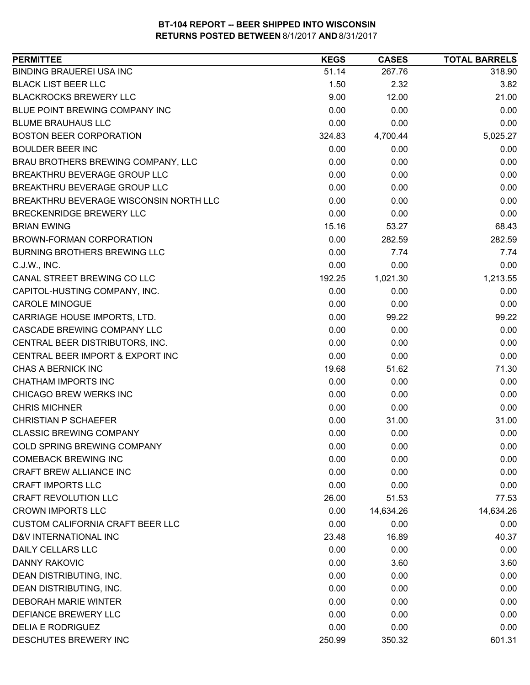| <b>PERMITTEE</b>                        | <b>KEGS</b> | <b>CASES</b> | <b>TOTAL BARRELS</b> |
|-----------------------------------------|-------------|--------------|----------------------|
| <b>BINDING BRAUEREI USA INC</b>         | 51.14       | 267.76       | 318.90               |
| <b>BLACK LIST BEER LLC</b>              | 1.50        | 2.32         | 3.82                 |
| <b>BLACKROCKS BREWERY LLC</b>           | 9.00        | 12.00        | 21.00                |
| BLUE POINT BREWING COMPANY INC          | 0.00        | 0.00         | 0.00                 |
| <b>BLUME BRAUHAUS LLC</b>               | 0.00        | 0.00         | 0.00                 |
| <b>BOSTON BEER CORPORATION</b>          | 324.83      | 4,700.44     | 5,025.27             |
| <b>BOULDER BEER INC</b>                 | 0.00        | 0.00         | 0.00                 |
| BRAU BROTHERS BREWING COMPANY, LLC      | 0.00        | 0.00         | 0.00                 |
| BREAKTHRU BEVERAGE GROUP LLC            | 0.00        | 0.00         | 0.00                 |
| BREAKTHRU BEVERAGE GROUP LLC            | 0.00        | 0.00         | 0.00                 |
| BREAKTHRU BEVERAGE WISCONSIN NORTH LLC  | 0.00        | 0.00         | 0.00                 |
| <b>BRECKENRIDGE BREWERY LLC</b>         | 0.00        | 0.00         | 0.00                 |
| <b>BRIAN EWING</b>                      | 15.16       | 53.27        | 68.43                |
| BROWN-FORMAN CORPORATION                | 0.00        | 282.59       | 282.59               |
| <b>BURNING BROTHERS BREWING LLC</b>     | 0.00        | 7.74         | 7.74                 |
| C.J.W., INC.                            | 0.00        | 0.00         | 0.00                 |
| CANAL STREET BREWING CO LLC             | 192.25      | 1,021.30     | 1,213.55             |
| CAPITOL-HUSTING COMPANY, INC.           | 0.00        | 0.00         | 0.00                 |
| <b>CAROLE MINOGUE</b>                   | 0.00        | 0.00         | 0.00                 |
| CARRIAGE HOUSE IMPORTS, LTD.            | 0.00        | 99.22        | 99.22                |
| CASCADE BREWING COMPANY LLC             | 0.00        | 0.00         | 0.00                 |
| CENTRAL BEER DISTRIBUTORS, INC.         | 0.00        | 0.00         | 0.00                 |
| CENTRAL BEER IMPORT & EXPORT INC        | 0.00        | 0.00         | 0.00                 |
| CHAS A BERNICK INC                      | 19.68       | 51.62        | 71.30                |
| CHATHAM IMPORTS INC                     | 0.00        | 0.00         | 0.00                 |
| CHICAGO BREW WERKS INC                  | 0.00        | 0.00         | 0.00                 |
| <b>CHRIS MICHNER</b>                    | 0.00        | 0.00         | 0.00                 |
| <b>CHRISTIAN P SCHAEFER</b>             | 0.00        | 31.00        | 31.00                |
| <b>CLASSIC BREWING COMPANY</b>          | 0.00        | 0.00         | 0.00                 |
| COLD SPRING BREWING COMPANY             | 0.00        | 0.00         | 0.00                 |
| <b>COMEBACK BREWING INC</b>             | 0.00        | 0.00         | 0.00                 |
| <b>CRAFT BREW ALLIANCE INC</b>          | 0.00        | 0.00         | 0.00                 |
| <b>CRAFT IMPORTS LLC</b>                | 0.00        | 0.00         | 0.00                 |
| <b>CRAFT REVOLUTION LLC</b>             | 26.00       | 51.53        | 77.53                |
| <b>CROWN IMPORTS LLC</b>                | 0.00        | 14,634.26    | 14,634.26            |
| <b>CUSTOM CALIFORNIA CRAFT BEER LLC</b> | 0.00        | 0.00         | 0.00                 |
| D&V INTERNATIONAL INC                   | 23.48       | 16.89        | 40.37                |
| DAILY CELLARS LLC                       | 0.00        | 0.00         | 0.00                 |
| <b>DANNY RAKOVIC</b>                    | 0.00        | 3.60         | 3.60                 |
| DEAN DISTRIBUTING, INC.                 | 0.00        | 0.00         | 0.00                 |
| DEAN DISTRIBUTING, INC.                 | 0.00        | 0.00         | 0.00                 |
| <b>DEBORAH MARIE WINTER</b>             | 0.00        | 0.00         | 0.00                 |
| DEFIANCE BREWERY LLC                    | 0.00        | 0.00         | 0.00                 |
| <b>DELIA E RODRIGUEZ</b>                | 0.00        | 0.00         | 0.00                 |
| DESCHUTES BREWERY INC                   | 250.99      | 350.32       | 601.31               |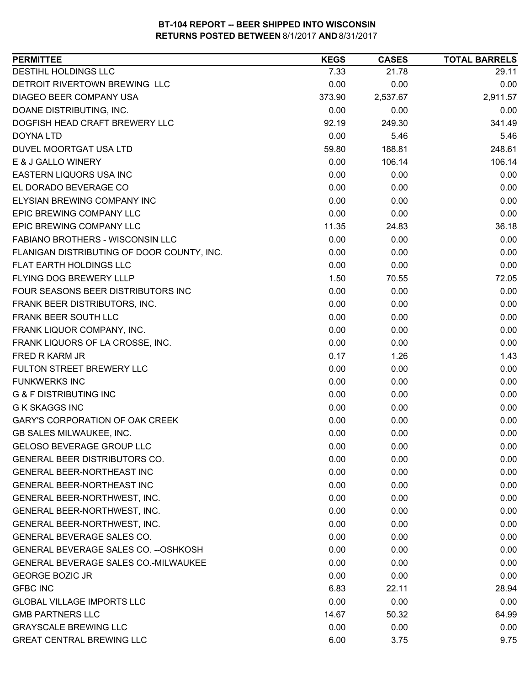| DESTIHL HOLDINGS LLC<br>29.11<br>7.33<br>21.78<br>DETROIT RIVERTOWN BREWING LLC<br>0.00<br>0.00<br>0.00<br>DIAGEO BEER COMPANY USA<br>373.90<br>2,537.67<br>2,911.57<br>DOANE DISTRIBUTING, INC.<br>0.00<br>0.00<br>0.00<br>DOGFISH HEAD CRAFT BREWERY LLC<br>249.30<br>341.49<br>92.19<br>0.00<br>5.46<br><b>DOYNA LTD</b><br>5.46<br>DUVEL MOORTGAT USA LTD<br>59.80<br>188.81<br>248.61<br>E & J GALLO WINERY<br>0.00<br>106.14<br>106.14<br><b>EASTERN LIQUORS USA INC</b><br>0.00<br>0.00<br>0.00<br>EL DORADO BEVERAGE CO<br>0.00<br>0.00<br>0.00<br>ELYSIAN BREWING COMPANY INC<br>0.00<br>0.00<br>0.00<br>EPIC BREWING COMPANY LLC<br>0.00<br>0.00<br>0.00<br>EPIC BREWING COMPANY LLC<br>11.35<br>24.83<br>36.18<br>FABIANO BROTHERS - WISCONSIN LLC<br>0.00<br>0.00<br>0.00<br>FLANIGAN DISTRIBUTING OF DOOR COUNTY, INC.<br>0.00<br>0.00<br>0.00<br>FLAT EARTH HOLDINGS LLC<br>0.00<br>0.00<br>0.00<br>FLYING DOG BREWERY LLLP<br>1.50<br>70.55<br>72.05<br>FOUR SEASONS BEER DISTRIBUTORS INC<br>0.00<br>0.00<br>0.00<br>0.00<br>0.00<br>FRANK BEER DISTRIBUTORS, INC.<br>0.00<br>FRANK BEER SOUTH LLC<br>0.00<br>0.00<br>0.00<br>0.00<br>FRANK LIQUOR COMPANY, INC.<br>0.00<br>0.00<br>FRANK LIQUORS OF LA CROSSE, INC.<br>0.00<br>0.00<br>0.00<br>FRED R KARM JR<br>0.17<br>1.26<br>1.43<br>FULTON STREET BREWERY LLC<br>0.00<br>0.00<br>0.00<br><b>FUNKWERKS INC</b><br>0.00<br>0.00<br>0.00<br><b>G &amp; F DISTRIBUTING INC</b><br>0.00<br>0.00<br>0.00<br><b>G K SKAGGS INC</b><br>0.00<br>0.00<br>0.00<br><b>GARY'S CORPORATION OF OAK CREEK</b><br>0.00<br>0.00<br>0.00<br>0.00<br>GB SALES MILWAUKEE, INC.<br>0.00<br>0.00<br><b>GELOSO BEVERAGE GROUP LLC</b><br>0.00<br>0.00<br>0.00<br>0.00<br><b>GENERAL BEER DISTRIBUTORS CO.</b><br>0.00<br>0.00<br><b>GENERAL BEER-NORTHEAST INC</b><br>0.00<br>0.00<br>0.00<br>GENERAL BEER-NORTHEAST INC<br>0.00<br>0.00<br>0.00<br>GENERAL BEER-NORTHWEST, INC.<br>0.00<br>0.00<br>0.00<br>GENERAL BEER-NORTHWEST, INC.<br>0.00<br>0.00<br>0.00<br>0.00<br>0.00<br>GENERAL BEER-NORTHWEST, INC.<br>0.00<br>GENERAL BEVERAGE SALES CO.<br>0.00<br>0.00<br>0.00<br>GENERAL BEVERAGE SALES CO. -- OSHKOSH<br>0.00<br>0.00<br>0.00<br>GENERAL BEVERAGE SALES CO.-MILWAUKEE<br>0.00<br>0.00<br>0.00<br><b>GEORGE BOZIC JR</b><br>0.00<br>0.00<br>0.00<br>6.83<br><b>GFBC INC</b><br>22.11<br>28.94<br>0.00<br><b>GLOBAL VILLAGE IMPORTS LLC</b><br>0.00<br>0.00<br><b>GMB PARTNERS LLC</b><br>14.67<br>50.32<br>64.99<br><b>GRAYSCALE BREWING LLC</b><br>0.00<br>0.00<br>0.00<br><b>GREAT CENTRAL BREWING LLC</b><br>6.00<br>9.75<br>3.75 | <b>PERMITTEE</b> | <b>KEGS</b> | <b>CASES</b> | <b>TOTAL BARRELS</b> |
|-----------------------------------------------------------------------------------------------------------------------------------------------------------------------------------------------------------------------------------------------------------------------------------------------------------------------------------------------------------------------------------------------------------------------------------------------------------------------------------------------------------------------------------------------------------------------------------------------------------------------------------------------------------------------------------------------------------------------------------------------------------------------------------------------------------------------------------------------------------------------------------------------------------------------------------------------------------------------------------------------------------------------------------------------------------------------------------------------------------------------------------------------------------------------------------------------------------------------------------------------------------------------------------------------------------------------------------------------------------------------------------------------------------------------------------------------------------------------------------------------------------------------------------------------------------------------------------------------------------------------------------------------------------------------------------------------------------------------------------------------------------------------------------------------------------------------------------------------------------------------------------------------------------------------------------------------------------------------------------------------------------------------------------------------------------------------------------------------------------------------------------------------------------------------------------------------------------------------------------------------------------------------------------------------------------------------------------------------------------------------------------------------------------------------------------------------------------------------------------------------------------------------------------------------------------------------------------------------------|------------------|-------------|--------------|----------------------|
|                                                                                                                                                                                                                                                                                                                                                                                                                                                                                                                                                                                                                                                                                                                                                                                                                                                                                                                                                                                                                                                                                                                                                                                                                                                                                                                                                                                                                                                                                                                                                                                                                                                                                                                                                                                                                                                                                                                                                                                                                                                                                                                                                                                                                                                                                                                                                                                                                                                                                                                                                                                                     |                  |             |              |                      |
|                                                                                                                                                                                                                                                                                                                                                                                                                                                                                                                                                                                                                                                                                                                                                                                                                                                                                                                                                                                                                                                                                                                                                                                                                                                                                                                                                                                                                                                                                                                                                                                                                                                                                                                                                                                                                                                                                                                                                                                                                                                                                                                                                                                                                                                                                                                                                                                                                                                                                                                                                                                                     |                  |             |              |                      |
|                                                                                                                                                                                                                                                                                                                                                                                                                                                                                                                                                                                                                                                                                                                                                                                                                                                                                                                                                                                                                                                                                                                                                                                                                                                                                                                                                                                                                                                                                                                                                                                                                                                                                                                                                                                                                                                                                                                                                                                                                                                                                                                                                                                                                                                                                                                                                                                                                                                                                                                                                                                                     |                  |             |              |                      |
|                                                                                                                                                                                                                                                                                                                                                                                                                                                                                                                                                                                                                                                                                                                                                                                                                                                                                                                                                                                                                                                                                                                                                                                                                                                                                                                                                                                                                                                                                                                                                                                                                                                                                                                                                                                                                                                                                                                                                                                                                                                                                                                                                                                                                                                                                                                                                                                                                                                                                                                                                                                                     |                  |             |              |                      |
|                                                                                                                                                                                                                                                                                                                                                                                                                                                                                                                                                                                                                                                                                                                                                                                                                                                                                                                                                                                                                                                                                                                                                                                                                                                                                                                                                                                                                                                                                                                                                                                                                                                                                                                                                                                                                                                                                                                                                                                                                                                                                                                                                                                                                                                                                                                                                                                                                                                                                                                                                                                                     |                  |             |              |                      |
|                                                                                                                                                                                                                                                                                                                                                                                                                                                                                                                                                                                                                                                                                                                                                                                                                                                                                                                                                                                                                                                                                                                                                                                                                                                                                                                                                                                                                                                                                                                                                                                                                                                                                                                                                                                                                                                                                                                                                                                                                                                                                                                                                                                                                                                                                                                                                                                                                                                                                                                                                                                                     |                  |             |              |                      |
|                                                                                                                                                                                                                                                                                                                                                                                                                                                                                                                                                                                                                                                                                                                                                                                                                                                                                                                                                                                                                                                                                                                                                                                                                                                                                                                                                                                                                                                                                                                                                                                                                                                                                                                                                                                                                                                                                                                                                                                                                                                                                                                                                                                                                                                                                                                                                                                                                                                                                                                                                                                                     |                  |             |              |                      |
|                                                                                                                                                                                                                                                                                                                                                                                                                                                                                                                                                                                                                                                                                                                                                                                                                                                                                                                                                                                                                                                                                                                                                                                                                                                                                                                                                                                                                                                                                                                                                                                                                                                                                                                                                                                                                                                                                                                                                                                                                                                                                                                                                                                                                                                                                                                                                                                                                                                                                                                                                                                                     |                  |             |              |                      |
|                                                                                                                                                                                                                                                                                                                                                                                                                                                                                                                                                                                                                                                                                                                                                                                                                                                                                                                                                                                                                                                                                                                                                                                                                                                                                                                                                                                                                                                                                                                                                                                                                                                                                                                                                                                                                                                                                                                                                                                                                                                                                                                                                                                                                                                                                                                                                                                                                                                                                                                                                                                                     |                  |             |              |                      |
|                                                                                                                                                                                                                                                                                                                                                                                                                                                                                                                                                                                                                                                                                                                                                                                                                                                                                                                                                                                                                                                                                                                                                                                                                                                                                                                                                                                                                                                                                                                                                                                                                                                                                                                                                                                                                                                                                                                                                                                                                                                                                                                                                                                                                                                                                                                                                                                                                                                                                                                                                                                                     |                  |             |              |                      |
|                                                                                                                                                                                                                                                                                                                                                                                                                                                                                                                                                                                                                                                                                                                                                                                                                                                                                                                                                                                                                                                                                                                                                                                                                                                                                                                                                                                                                                                                                                                                                                                                                                                                                                                                                                                                                                                                                                                                                                                                                                                                                                                                                                                                                                                                                                                                                                                                                                                                                                                                                                                                     |                  |             |              |                      |
|                                                                                                                                                                                                                                                                                                                                                                                                                                                                                                                                                                                                                                                                                                                                                                                                                                                                                                                                                                                                                                                                                                                                                                                                                                                                                                                                                                                                                                                                                                                                                                                                                                                                                                                                                                                                                                                                                                                                                                                                                                                                                                                                                                                                                                                                                                                                                                                                                                                                                                                                                                                                     |                  |             |              |                      |
|                                                                                                                                                                                                                                                                                                                                                                                                                                                                                                                                                                                                                                                                                                                                                                                                                                                                                                                                                                                                                                                                                                                                                                                                                                                                                                                                                                                                                                                                                                                                                                                                                                                                                                                                                                                                                                                                                                                                                                                                                                                                                                                                                                                                                                                                                                                                                                                                                                                                                                                                                                                                     |                  |             |              |                      |
|                                                                                                                                                                                                                                                                                                                                                                                                                                                                                                                                                                                                                                                                                                                                                                                                                                                                                                                                                                                                                                                                                                                                                                                                                                                                                                                                                                                                                                                                                                                                                                                                                                                                                                                                                                                                                                                                                                                                                                                                                                                                                                                                                                                                                                                                                                                                                                                                                                                                                                                                                                                                     |                  |             |              |                      |
|                                                                                                                                                                                                                                                                                                                                                                                                                                                                                                                                                                                                                                                                                                                                                                                                                                                                                                                                                                                                                                                                                                                                                                                                                                                                                                                                                                                                                                                                                                                                                                                                                                                                                                                                                                                                                                                                                                                                                                                                                                                                                                                                                                                                                                                                                                                                                                                                                                                                                                                                                                                                     |                  |             |              |                      |
|                                                                                                                                                                                                                                                                                                                                                                                                                                                                                                                                                                                                                                                                                                                                                                                                                                                                                                                                                                                                                                                                                                                                                                                                                                                                                                                                                                                                                                                                                                                                                                                                                                                                                                                                                                                                                                                                                                                                                                                                                                                                                                                                                                                                                                                                                                                                                                                                                                                                                                                                                                                                     |                  |             |              |                      |
|                                                                                                                                                                                                                                                                                                                                                                                                                                                                                                                                                                                                                                                                                                                                                                                                                                                                                                                                                                                                                                                                                                                                                                                                                                                                                                                                                                                                                                                                                                                                                                                                                                                                                                                                                                                                                                                                                                                                                                                                                                                                                                                                                                                                                                                                                                                                                                                                                                                                                                                                                                                                     |                  |             |              |                      |
|                                                                                                                                                                                                                                                                                                                                                                                                                                                                                                                                                                                                                                                                                                                                                                                                                                                                                                                                                                                                                                                                                                                                                                                                                                                                                                                                                                                                                                                                                                                                                                                                                                                                                                                                                                                                                                                                                                                                                                                                                                                                                                                                                                                                                                                                                                                                                                                                                                                                                                                                                                                                     |                  |             |              |                      |
|                                                                                                                                                                                                                                                                                                                                                                                                                                                                                                                                                                                                                                                                                                                                                                                                                                                                                                                                                                                                                                                                                                                                                                                                                                                                                                                                                                                                                                                                                                                                                                                                                                                                                                                                                                                                                                                                                                                                                                                                                                                                                                                                                                                                                                                                                                                                                                                                                                                                                                                                                                                                     |                  |             |              |                      |
|                                                                                                                                                                                                                                                                                                                                                                                                                                                                                                                                                                                                                                                                                                                                                                                                                                                                                                                                                                                                                                                                                                                                                                                                                                                                                                                                                                                                                                                                                                                                                                                                                                                                                                                                                                                                                                                                                                                                                                                                                                                                                                                                                                                                                                                                                                                                                                                                                                                                                                                                                                                                     |                  |             |              |                      |
|                                                                                                                                                                                                                                                                                                                                                                                                                                                                                                                                                                                                                                                                                                                                                                                                                                                                                                                                                                                                                                                                                                                                                                                                                                                                                                                                                                                                                                                                                                                                                                                                                                                                                                                                                                                                                                                                                                                                                                                                                                                                                                                                                                                                                                                                                                                                                                                                                                                                                                                                                                                                     |                  |             |              |                      |
|                                                                                                                                                                                                                                                                                                                                                                                                                                                                                                                                                                                                                                                                                                                                                                                                                                                                                                                                                                                                                                                                                                                                                                                                                                                                                                                                                                                                                                                                                                                                                                                                                                                                                                                                                                                                                                                                                                                                                                                                                                                                                                                                                                                                                                                                                                                                                                                                                                                                                                                                                                                                     |                  |             |              |                      |
|                                                                                                                                                                                                                                                                                                                                                                                                                                                                                                                                                                                                                                                                                                                                                                                                                                                                                                                                                                                                                                                                                                                                                                                                                                                                                                                                                                                                                                                                                                                                                                                                                                                                                                                                                                                                                                                                                                                                                                                                                                                                                                                                                                                                                                                                                                                                                                                                                                                                                                                                                                                                     |                  |             |              |                      |
|                                                                                                                                                                                                                                                                                                                                                                                                                                                                                                                                                                                                                                                                                                                                                                                                                                                                                                                                                                                                                                                                                                                                                                                                                                                                                                                                                                                                                                                                                                                                                                                                                                                                                                                                                                                                                                                                                                                                                                                                                                                                                                                                                                                                                                                                                                                                                                                                                                                                                                                                                                                                     |                  |             |              |                      |
|                                                                                                                                                                                                                                                                                                                                                                                                                                                                                                                                                                                                                                                                                                                                                                                                                                                                                                                                                                                                                                                                                                                                                                                                                                                                                                                                                                                                                                                                                                                                                                                                                                                                                                                                                                                                                                                                                                                                                                                                                                                                                                                                                                                                                                                                                                                                                                                                                                                                                                                                                                                                     |                  |             |              |                      |
|                                                                                                                                                                                                                                                                                                                                                                                                                                                                                                                                                                                                                                                                                                                                                                                                                                                                                                                                                                                                                                                                                                                                                                                                                                                                                                                                                                                                                                                                                                                                                                                                                                                                                                                                                                                                                                                                                                                                                                                                                                                                                                                                                                                                                                                                                                                                                                                                                                                                                                                                                                                                     |                  |             |              |                      |
|                                                                                                                                                                                                                                                                                                                                                                                                                                                                                                                                                                                                                                                                                                                                                                                                                                                                                                                                                                                                                                                                                                                                                                                                                                                                                                                                                                                                                                                                                                                                                                                                                                                                                                                                                                                                                                                                                                                                                                                                                                                                                                                                                                                                                                                                                                                                                                                                                                                                                                                                                                                                     |                  |             |              |                      |
|                                                                                                                                                                                                                                                                                                                                                                                                                                                                                                                                                                                                                                                                                                                                                                                                                                                                                                                                                                                                                                                                                                                                                                                                                                                                                                                                                                                                                                                                                                                                                                                                                                                                                                                                                                                                                                                                                                                                                                                                                                                                                                                                                                                                                                                                                                                                                                                                                                                                                                                                                                                                     |                  |             |              |                      |
|                                                                                                                                                                                                                                                                                                                                                                                                                                                                                                                                                                                                                                                                                                                                                                                                                                                                                                                                                                                                                                                                                                                                                                                                                                                                                                                                                                                                                                                                                                                                                                                                                                                                                                                                                                                                                                                                                                                                                                                                                                                                                                                                                                                                                                                                                                                                                                                                                                                                                                                                                                                                     |                  |             |              |                      |
|                                                                                                                                                                                                                                                                                                                                                                                                                                                                                                                                                                                                                                                                                                                                                                                                                                                                                                                                                                                                                                                                                                                                                                                                                                                                                                                                                                                                                                                                                                                                                                                                                                                                                                                                                                                                                                                                                                                                                                                                                                                                                                                                                                                                                                                                                                                                                                                                                                                                                                                                                                                                     |                  |             |              |                      |
|                                                                                                                                                                                                                                                                                                                                                                                                                                                                                                                                                                                                                                                                                                                                                                                                                                                                                                                                                                                                                                                                                                                                                                                                                                                                                                                                                                                                                                                                                                                                                                                                                                                                                                                                                                                                                                                                                                                                                                                                                                                                                                                                                                                                                                                                                                                                                                                                                                                                                                                                                                                                     |                  |             |              |                      |
|                                                                                                                                                                                                                                                                                                                                                                                                                                                                                                                                                                                                                                                                                                                                                                                                                                                                                                                                                                                                                                                                                                                                                                                                                                                                                                                                                                                                                                                                                                                                                                                                                                                                                                                                                                                                                                                                                                                                                                                                                                                                                                                                                                                                                                                                                                                                                                                                                                                                                                                                                                                                     |                  |             |              |                      |
|                                                                                                                                                                                                                                                                                                                                                                                                                                                                                                                                                                                                                                                                                                                                                                                                                                                                                                                                                                                                                                                                                                                                                                                                                                                                                                                                                                                                                                                                                                                                                                                                                                                                                                                                                                                                                                                                                                                                                                                                                                                                                                                                                                                                                                                                                                                                                                                                                                                                                                                                                                                                     |                  |             |              |                      |
|                                                                                                                                                                                                                                                                                                                                                                                                                                                                                                                                                                                                                                                                                                                                                                                                                                                                                                                                                                                                                                                                                                                                                                                                                                                                                                                                                                                                                                                                                                                                                                                                                                                                                                                                                                                                                                                                                                                                                                                                                                                                                                                                                                                                                                                                                                                                                                                                                                                                                                                                                                                                     |                  |             |              |                      |
|                                                                                                                                                                                                                                                                                                                                                                                                                                                                                                                                                                                                                                                                                                                                                                                                                                                                                                                                                                                                                                                                                                                                                                                                                                                                                                                                                                                                                                                                                                                                                                                                                                                                                                                                                                                                                                                                                                                                                                                                                                                                                                                                                                                                                                                                                                                                                                                                                                                                                                                                                                                                     |                  |             |              |                      |
|                                                                                                                                                                                                                                                                                                                                                                                                                                                                                                                                                                                                                                                                                                                                                                                                                                                                                                                                                                                                                                                                                                                                                                                                                                                                                                                                                                                                                                                                                                                                                                                                                                                                                                                                                                                                                                                                                                                                                                                                                                                                                                                                                                                                                                                                                                                                                                                                                                                                                                                                                                                                     |                  |             |              |                      |
|                                                                                                                                                                                                                                                                                                                                                                                                                                                                                                                                                                                                                                                                                                                                                                                                                                                                                                                                                                                                                                                                                                                                                                                                                                                                                                                                                                                                                                                                                                                                                                                                                                                                                                                                                                                                                                                                                                                                                                                                                                                                                                                                                                                                                                                                                                                                                                                                                                                                                                                                                                                                     |                  |             |              |                      |
|                                                                                                                                                                                                                                                                                                                                                                                                                                                                                                                                                                                                                                                                                                                                                                                                                                                                                                                                                                                                                                                                                                                                                                                                                                                                                                                                                                                                                                                                                                                                                                                                                                                                                                                                                                                                                                                                                                                                                                                                                                                                                                                                                                                                                                                                                                                                                                                                                                                                                                                                                                                                     |                  |             |              |                      |
|                                                                                                                                                                                                                                                                                                                                                                                                                                                                                                                                                                                                                                                                                                                                                                                                                                                                                                                                                                                                                                                                                                                                                                                                                                                                                                                                                                                                                                                                                                                                                                                                                                                                                                                                                                                                                                                                                                                                                                                                                                                                                                                                                                                                                                                                                                                                                                                                                                                                                                                                                                                                     |                  |             |              |                      |
|                                                                                                                                                                                                                                                                                                                                                                                                                                                                                                                                                                                                                                                                                                                                                                                                                                                                                                                                                                                                                                                                                                                                                                                                                                                                                                                                                                                                                                                                                                                                                                                                                                                                                                                                                                                                                                                                                                                                                                                                                                                                                                                                                                                                                                                                                                                                                                                                                                                                                                                                                                                                     |                  |             |              |                      |
|                                                                                                                                                                                                                                                                                                                                                                                                                                                                                                                                                                                                                                                                                                                                                                                                                                                                                                                                                                                                                                                                                                                                                                                                                                                                                                                                                                                                                                                                                                                                                                                                                                                                                                                                                                                                                                                                                                                                                                                                                                                                                                                                                                                                                                                                                                                                                                                                                                                                                                                                                                                                     |                  |             |              |                      |
|                                                                                                                                                                                                                                                                                                                                                                                                                                                                                                                                                                                                                                                                                                                                                                                                                                                                                                                                                                                                                                                                                                                                                                                                                                                                                                                                                                                                                                                                                                                                                                                                                                                                                                                                                                                                                                                                                                                                                                                                                                                                                                                                                                                                                                                                                                                                                                                                                                                                                                                                                                                                     |                  |             |              |                      |
|                                                                                                                                                                                                                                                                                                                                                                                                                                                                                                                                                                                                                                                                                                                                                                                                                                                                                                                                                                                                                                                                                                                                                                                                                                                                                                                                                                                                                                                                                                                                                                                                                                                                                                                                                                                                                                                                                                                                                                                                                                                                                                                                                                                                                                                                                                                                                                                                                                                                                                                                                                                                     |                  |             |              |                      |
|                                                                                                                                                                                                                                                                                                                                                                                                                                                                                                                                                                                                                                                                                                                                                                                                                                                                                                                                                                                                                                                                                                                                                                                                                                                                                                                                                                                                                                                                                                                                                                                                                                                                                                                                                                                                                                                                                                                                                                                                                                                                                                                                                                                                                                                                                                                                                                                                                                                                                                                                                                                                     |                  |             |              |                      |
|                                                                                                                                                                                                                                                                                                                                                                                                                                                                                                                                                                                                                                                                                                                                                                                                                                                                                                                                                                                                                                                                                                                                                                                                                                                                                                                                                                                                                                                                                                                                                                                                                                                                                                                                                                                                                                                                                                                                                                                                                                                                                                                                                                                                                                                                                                                                                                                                                                                                                                                                                                                                     |                  |             |              |                      |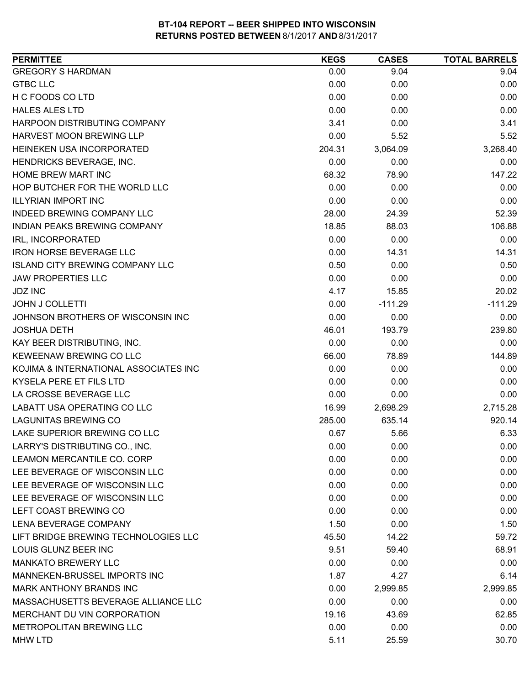| <b>GREGORY S HARDMAN</b><br>0.00<br>9.04<br>9.04<br><b>GTBC LLC</b><br>0.00<br>0.00<br>0.00<br>H C FOODS CO LTD<br>0.00<br>0.00<br>0.00<br>0.00<br>0.00<br><b>HALES ALES LTD</b><br>0.00<br>3.41<br>3.41<br>HARPOON DISTRIBUTING COMPANY<br>0.00<br>HARVEST MOON BREWING LLP<br>0.00<br>5.52<br>5.52<br>HEINEKEN USA INCORPORATED<br>3,268.40<br>204.31<br>3,064.09<br>HENDRICKS BEVERAGE, INC.<br>0.00<br>0.00<br>0.00<br>HOME BREW MART INC<br>68.32<br>147.22<br>78.90<br>HOP BUTCHER FOR THE WORLD LLC<br>0.00<br>0.00<br>0.00<br>0.00<br><b>ILLYRIAN IMPORT INC</b><br>0.00<br>0.00<br><b>INDEED BREWING COMPANY LLC</b><br>28.00<br>24.39<br>52.39<br>18.85<br>106.88<br>INDIAN PEAKS BREWING COMPANY<br>88.03<br>0.00<br>IRL, INCORPORATED<br>0.00<br>0.00<br><b>IRON HORSE BEVERAGE LLC</b><br>0.00<br>14.31<br>14.31<br><b>ISLAND CITY BREWING COMPANY LLC</b><br>0.50<br>0.50<br>0.00<br>0.00<br><b>JAW PROPERTIES LLC</b><br>0.00<br>0.00<br>4.17<br>20.02<br><b>JDZ INC</b><br>15.85<br>0.00<br>$-111.29$<br><b>JOHN J COLLETTI</b><br>$-111.29$<br>0.00<br>0.00<br>JOHNSON BROTHERS OF WISCONSIN INC<br>0.00<br>239.80<br>46.01<br>193.79<br><b>JOSHUA DETH</b><br>KAY BEER DISTRIBUTING, INC.<br>0.00<br>0.00<br>0.00<br>KEWEENAW BREWING CO LLC<br>66.00<br>144.89<br>78.89<br>0.00<br>0.00<br>KOJIMA & INTERNATIONAL ASSOCIATES INC<br>0.00<br>0.00<br>0.00<br>0.00<br>KYSELA PERE ET FILS LTD<br>LA CROSSE BEVERAGE LLC<br>0.00<br>0.00<br>0.00<br>LABATT USA OPERATING CO LLC<br>2,698.29<br>2,715.28<br>16.99<br><b>LAGUNITAS BREWING CO</b><br>635.14<br>920.14<br>285.00<br>LAKE SUPERIOR BREWING CO LLC<br>0.67<br>6.33<br>5.66<br>LARRY'S DISTRIBUTING CO., INC.<br>0.00<br>0.00<br>0.00<br>0.00<br>0.00<br>0.00<br>LEE BEVERAGE OF WISCONSIN LLC<br>0.00<br>0.00<br>0.00<br>LEE BEVERAGE OF WISCONSIN LLC<br>0.00<br>0.00<br>0.00<br>LEE BEVERAGE OF WISCONSIN LLC<br>0.00<br>0.00<br>0.00<br>LEFT COAST BREWING CO<br>0.00<br>0.00<br>0.00<br>1.50<br>1.50<br>0.00<br>LIFT BRIDGE BREWING TECHNOLOGIES LLC<br>59.72<br>45.50<br>14.22<br>LOUIS GLUNZ BEER INC<br>68.91<br>9.51<br>59.40<br><b>MANKATO BREWERY LLC</b><br>0.00<br>0.00<br>0.00<br>MANNEKEN-BRUSSEL IMPORTS INC<br>1.87<br>4.27<br>6.14<br>MARK ANTHONY BRANDS INC<br>0.00<br>2,999.85<br>2,999.85<br>MASSACHUSETTS BEVERAGE ALLIANCE LLC<br>0.00<br>0.00<br>0.00<br>MERCHANT DU VIN CORPORATION<br>19.16<br>43.69<br>62.85<br>METROPOLITAN BREWING LLC<br>0.00<br>0.00<br>0.00 | <b>PERMITTEE</b>           | <b>KEGS</b> | <b>CASES</b> | <b>TOTAL BARRELS</b> |
|------------------------------------------------------------------------------------------------------------------------------------------------------------------------------------------------------------------------------------------------------------------------------------------------------------------------------------------------------------------------------------------------------------------------------------------------------------------------------------------------------------------------------------------------------------------------------------------------------------------------------------------------------------------------------------------------------------------------------------------------------------------------------------------------------------------------------------------------------------------------------------------------------------------------------------------------------------------------------------------------------------------------------------------------------------------------------------------------------------------------------------------------------------------------------------------------------------------------------------------------------------------------------------------------------------------------------------------------------------------------------------------------------------------------------------------------------------------------------------------------------------------------------------------------------------------------------------------------------------------------------------------------------------------------------------------------------------------------------------------------------------------------------------------------------------------------------------------------------------------------------------------------------------------------------------------------------------------------------------------------------------------------------------------------------------------------------------------------------------------------------------------------------------------------------------------------------------------------------------------------------------------------------------------------------------------------------------------------------------------------------------------------------------------------------------------------------------------------|----------------------------|-------------|--------------|----------------------|
|                                                                                                                                                                                                                                                                                                                                                                                                                                                                                                                                                                                                                                                                                                                                                                                                                                                                                                                                                                                                                                                                                                                                                                                                                                                                                                                                                                                                                                                                                                                                                                                                                                                                                                                                                                                                                                                                                                                                                                                                                                                                                                                                                                                                                                                                                                                                                                                                                                                                        |                            |             |              |                      |
|                                                                                                                                                                                                                                                                                                                                                                                                                                                                                                                                                                                                                                                                                                                                                                                                                                                                                                                                                                                                                                                                                                                                                                                                                                                                                                                                                                                                                                                                                                                                                                                                                                                                                                                                                                                                                                                                                                                                                                                                                                                                                                                                                                                                                                                                                                                                                                                                                                                                        |                            |             |              |                      |
|                                                                                                                                                                                                                                                                                                                                                                                                                                                                                                                                                                                                                                                                                                                                                                                                                                                                                                                                                                                                                                                                                                                                                                                                                                                                                                                                                                                                                                                                                                                                                                                                                                                                                                                                                                                                                                                                                                                                                                                                                                                                                                                                                                                                                                                                                                                                                                                                                                                                        |                            |             |              |                      |
|                                                                                                                                                                                                                                                                                                                                                                                                                                                                                                                                                                                                                                                                                                                                                                                                                                                                                                                                                                                                                                                                                                                                                                                                                                                                                                                                                                                                                                                                                                                                                                                                                                                                                                                                                                                                                                                                                                                                                                                                                                                                                                                                                                                                                                                                                                                                                                                                                                                                        |                            |             |              |                      |
|                                                                                                                                                                                                                                                                                                                                                                                                                                                                                                                                                                                                                                                                                                                                                                                                                                                                                                                                                                                                                                                                                                                                                                                                                                                                                                                                                                                                                                                                                                                                                                                                                                                                                                                                                                                                                                                                                                                                                                                                                                                                                                                                                                                                                                                                                                                                                                                                                                                                        |                            |             |              |                      |
|                                                                                                                                                                                                                                                                                                                                                                                                                                                                                                                                                                                                                                                                                                                                                                                                                                                                                                                                                                                                                                                                                                                                                                                                                                                                                                                                                                                                                                                                                                                                                                                                                                                                                                                                                                                                                                                                                                                                                                                                                                                                                                                                                                                                                                                                                                                                                                                                                                                                        |                            |             |              |                      |
|                                                                                                                                                                                                                                                                                                                                                                                                                                                                                                                                                                                                                                                                                                                                                                                                                                                                                                                                                                                                                                                                                                                                                                                                                                                                                                                                                                                                                                                                                                                                                                                                                                                                                                                                                                                                                                                                                                                                                                                                                                                                                                                                                                                                                                                                                                                                                                                                                                                                        |                            |             |              |                      |
|                                                                                                                                                                                                                                                                                                                                                                                                                                                                                                                                                                                                                                                                                                                                                                                                                                                                                                                                                                                                                                                                                                                                                                                                                                                                                                                                                                                                                                                                                                                                                                                                                                                                                                                                                                                                                                                                                                                                                                                                                                                                                                                                                                                                                                                                                                                                                                                                                                                                        |                            |             |              |                      |
|                                                                                                                                                                                                                                                                                                                                                                                                                                                                                                                                                                                                                                                                                                                                                                                                                                                                                                                                                                                                                                                                                                                                                                                                                                                                                                                                                                                                                                                                                                                                                                                                                                                                                                                                                                                                                                                                                                                                                                                                                                                                                                                                                                                                                                                                                                                                                                                                                                                                        |                            |             |              |                      |
|                                                                                                                                                                                                                                                                                                                                                                                                                                                                                                                                                                                                                                                                                                                                                                                                                                                                                                                                                                                                                                                                                                                                                                                                                                                                                                                                                                                                                                                                                                                                                                                                                                                                                                                                                                                                                                                                                                                                                                                                                                                                                                                                                                                                                                                                                                                                                                                                                                                                        |                            |             |              |                      |
|                                                                                                                                                                                                                                                                                                                                                                                                                                                                                                                                                                                                                                                                                                                                                                                                                                                                                                                                                                                                                                                                                                                                                                                                                                                                                                                                                                                                                                                                                                                                                                                                                                                                                                                                                                                                                                                                                                                                                                                                                                                                                                                                                                                                                                                                                                                                                                                                                                                                        |                            |             |              |                      |
|                                                                                                                                                                                                                                                                                                                                                                                                                                                                                                                                                                                                                                                                                                                                                                                                                                                                                                                                                                                                                                                                                                                                                                                                                                                                                                                                                                                                                                                                                                                                                                                                                                                                                                                                                                                                                                                                                                                                                                                                                                                                                                                                                                                                                                                                                                                                                                                                                                                                        |                            |             |              |                      |
|                                                                                                                                                                                                                                                                                                                                                                                                                                                                                                                                                                                                                                                                                                                                                                                                                                                                                                                                                                                                                                                                                                                                                                                                                                                                                                                                                                                                                                                                                                                                                                                                                                                                                                                                                                                                                                                                                                                                                                                                                                                                                                                                                                                                                                                                                                                                                                                                                                                                        |                            |             |              |                      |
|                                                                                                                                                                                                                                                                                                                                                                                                                                                                                                                                                                                                                                                                                                                                                                                                                                                                                                                                                                                                                                                                                                                                                                                                                                                                                                                                                                                                                                                                                                                                                                                                                                                                                                                                                                                                                                                                                                                                                                                                                                                                                                                                                                                                                                                                                                                                                                                                                                                                        |                            |             |              |                      |
|                                                                                                                                                                                                                                                                                                                                                                                                                                                                                                                                                                                                                                                                                                                                                                                                                                                                                                                                                                                                                                                                                                                                                                                                                                                                                                                                                                                                                                                                                                                                                                                                                                                                                                                                                                                                                                                                                                                                                                                                                                                                                                                                                                                                                                                                                                                                                                                                                                                                        |                            |             |              |                      |
|                                                                                                                                                                                                                                                                                                                                                                                                                                                                                                                                                                                                                                                                                                                                                                                                                                                                                                                                                                                                                                                                                                                                                                                                                                                                                                                                                                                                                                                                                                                                                                                                                                                                                                                                                                                                                                                                                                                                                                                                                                                                                                                                                                                                                                                                                                                                                                                                                                                                        |                            |             |              |                      |
|                                                                                                                                                                                                                                                                                                                                                                                                                                                                                                                                                                                                                                                                                                                                                                                                                                                                                                                                                                                                                                                                                                                                                                                                                                                                                                                                                                                                                                                                                                                                                                                                                                                                                                                                                                                                                                                                                                                                                                                                                                                                                                                                                                                                                                                                                                                                                                                                                                                                        |                            |             |              |                      |
|                                                                                                                                                                                                                                                                                                                                                                                                                                                                                                                                                                                                                                                                                                                                                                                                                                                                                                                                                                                                                                                                                                                                                                                                                                                                                                                                                                                                                                                                                                                                                                                                                                                                                                                                                                                                                                                                                                                                                                                                                                                                                                                                                                                                                                                                                                                                                                                                                                                                        |                            |             |              |                      |
|                                                                                                                                                                                                                                                                                                                                                                                                                                                                                                                                                                                                                                                                                                                                                                                                                                                                                                                                                                                                                                                                                                                                                                                                                                                                                                                                                                                                                                                                                                                                                                                                                                                                                                                                                                                                                                                                                                                                                                                                                                                                                                                                                                                                                                                                                                                                                                                                                                                                        |                            |             |              |                      |
|                                                                                                                                                                                                                                                                                                                                                                                                                                                                                                                                                                                                                                                                                                                                                                                                                                                                                                                                                                                                                                                                                                                                                                                                                                                                                                                                                                                                                                                                                                                                                                                                                                                                                                                                                                                                                                                                                                                                                                                                                                                                                                                                                                                                                                                                                                                                                                                                                                                                        |                            |             |              |                      |
|                                                                                                                                                                                                                                                                                                                                                                                                                                                                                                                                                                                                                                                                                                                                                                                                                                                                                                                                                                                                                                                                                                                                                                                                                                                                                                                                                                                                                                                                                                                                                                                                                                                                                                                                                                                                                                                                                                                                                                                                                                                                                                                                                                                                                                                                                                                                                                                                                                                                        |                            |             |              |                      |
|                                                                                                                                                                                                                                                                                                                                                                                                                                                                                                                                                                                                                                                                                                                                                                                                                                                                                                                                                                                                                                                                                                                                                                                                                                                                                                                                                                                                                                                                                                                                                                                                                                                                                                                                                                                                                                                                                                                                                                                                                                                                                                                                                                                                                                                                                                                                                                                                                                                                        |                            |             |              |                      |
|                                                                                                                                                                                                                                                                                                                                                                                                                                                                                                                                                                                                                                                                                                                                                                                                                                                                                                                                                                                                                                                                                                                                                                                                                                                                                                                                                                                                                                                                                                                                                                                                                                                                                                                                                                                                                                                                                                                                                                                                                                                                                                                                                                                                                                                                                                                                                                                                                                                                        |                            |             |              |                      |
|                                                                                                                                                                                                                                                                                                                                                                                                                                                                                                                                                                                                                                                                                                                                                                                                                                                                                                                                                                                                                                                                                                                                                                                                                                                                                                                                                                                                                                                                                                                                                                                                                                                                                                                                                                                                                                                                                                                                                                                                                                                                                                                                                                                                                                                                                                                                                                                                                                                                        |                            |             |              |                      |
|                                                                                                                                                                                                                                                                                                                                                                                                                                                                                                                                                                                                                                                                                                                                                                                                                                                                                                                                                                                                                                                                                                                                                                                                                                                                                                                                                                                                                                                                                                                                                                                                                                                                                                                                                                                                                                                                                                                                                                                                                                                                                                                                                                                                                                                                                                                                                                                                                                                                        |                            |             |              |                      |
|                                                                                                                                                                                                                                                                                                                                                                                                                                                                                                                                                                                                                                                                                                                                                                                                                                                                                                                                                                                                                                                                                                                                                                                                                                                                                                                                                                                                                                                                                                                                                                                                                                                                                                                                                                                                                                                                                                                                                                                                                                                                                                                                                                                                                                                                                                                                                                                                                                                                        |                            |             |              |                      |
|                                                                                                                                                                                                                                                                                                                                                                                                                                                                                                                                                                                                                                                                                                                                                                                                                                                                                                                                                                                                                                                                                                                                                                                                                                                                                                                                                                                                                                                                                                                                                                                                                                                                                                                                                                                                                                                                                                                                                                                                                                                                                                                                                                                                                                                                                                                                                                                                                                                                        |                            |             |              |                      |
|                                                                                                                                                                                                                                                                                                                                                                                                                                                                                                                                                                                                                                                                                                                                                                                                                                                                                                                                                                                                                                                                                                                                                                                                                                                                                                                                                                                                                                                                                                                                                                                                                                                                                                                                                                                                                                                                                                                                                                                                                                                                                                                                                                                                                                                                                                                                                                                                                                                                        |                            |             |              |                      |
|                                                                                                                                                                                                                                                                                                                                                                                                                                                                                                                                                                                                                                                                                                                                                                                                                                                                                                                                                                                                                                                                                                                                                                                                                                                                                                                                                                                                                                                                                                                                                                                                                                                                                                                                                                                                                                                                                                                                                                                                                                                                                                                                                                                                                                                                                                                                                                                                                                                                        |                            |             |              |                      |
|                                                                                                                                                                                                                                                                                                                                                                                                                                                                                                                                                                                                                                                                                                                                                                                                                                                                                                                                                                                                                                                                                                                                                                                                                                                                                                                                                                                                                                                                                                                                                                                                                                                                                                                                                                                                                                                                                                                                                                                                                                                                                                                                                                                                                                                                                                                                                                                                                                                                        |                            |             |              |                      |
|                                                                                                                                                                                                                                                                                                                                                                                                                                                                                                                                                                                                                                                                                                                                                                                                                                                                                                                                                                                                                                                                                                                                                                                                                                                                                                                                                                                                                                                                                                                                                                                                                                                                                                                                                                                                                                                                                                                                                                                                                                                                                                                                                                                                                                                                                                                                                                                                                                                                        | LEAMON MERCANTILE CO. CORP |             |              |                      |
|                                                                                                                                                                                                                                                                                                                                                                                                                                                                                                                                                                                                                                                                                                                                                                                                                                                                                                                                                                                                                                                                                                                                                                                                                                                                                                                                                                                                                                                                                                                                                                                                                                                                                                                                                                                                                                                                                                                                                                                                                                                                                                                                                                                                                                                                                                                                                                                                                                                                        |                            |             |              |                      |
|                                                                                                                                                                                                                                                                                                                                                                                                                                                                                                                                                                                                                                                                                                                                                                                                                                                                                                                                                                                                                                                                                                                                                                                                                                                                                                                                                                                                                                                                                                                                                                                                                                                                                                                                                                                                                                                                                                                                                                                                                                                                                                                                                                                                                                                                                                                                                                                                                                                                        |                            |             |              |                      |
|                                                                                                                                                                                                                                                                                                                                                                                                                                                                                                                                                                                                                                                                                                                                                                                                                                                                                                                                                                                                                                                                                                                                                                                                                                                                                                                                                                                                                                                                                                                                                                                                                                                                                                                                                                                                                                                                                                                                                                                                                                                                                                                                                                                                                                                                                                                                                                                                                                                                        |                            |             |              |                      |
|                                                                                                                                                                                                                                                                                                                                                                                                                                                                                                                                                                                                                                                                                                                                                                                                                                                                                                                                                                                                                                                                                                                                                                                                                                                                                                                                                                                                                                                                                                                                                                                                                                                                                                                                                                                                                                                                                                                                                                                                                                                                                                                                                                                                                                                                                                                                                                                                                                                                        |                            |             |              |                      |
|                                                                                                                                                                                                                                                                                                                                                                                                                                                                                                                                                                                                                                                                                                                                                                                                                                                                                                                                                                                                                                                                                                                                                                                                                                                                                                                                                                                                                                                                                                                                                                                                                                                                                                                                                                                                                                                                                                                                                                                                                                                                                                                                                                                                                                                                                                                                                                                                                                                                        | LENA BEVERAGE COMPANY      |             |              |                      |
|                                                                                                                                                                                                                                                                                                                                                                                                                                                                                                                                                                                                                                                                                                                                                                                                                                                                                                                                                                                                                                                                                                                                                                                                                                                                                                                                                                                                                                                                                                                                                                                                                                                                                                                                                                                                                                                                                                                                                                                                                                                                                                                                                                                                                                                                                                                                                                                                                                                                        |                            |             |              |                      |
|                                                                                                                                                                                                                                                                                                                                                                                                                                                                                                                                                                                                                                                                                                                                                                                                                                                                                                                                                                                                                                                                                                                                                                                                                                                                                                                                                                                                                                                                                                                                                                                                                                                                                                                                                                                                                                                                                                                                                                                                                                                                                                                                                                                                                                                                                                                                                                                                                                                                        |                            |             |              |                      |
|                                                                                                                                                                                                                                                                                                                                                                                                                                                                                                                                                                                                                                                                                                                                                                                                                                                                                                                                                                                                                                                                                                                                                                                                                                                                                                                                                                                                                                                                                                                                                                                                                                                                                                                                                                                                                                                                                                                                                                                                                                                                                                                                                                                                                                                                                                                                                                                                                                                                        |                            |             |              |                      |
|                                                                                                                                                                                                                                                                                                                                                                                                                                                                                                                                                                                                                                                                                                                                                                                                                                                                                                                                                                                                                                                                                                                                                                                                                                                                                                                                                                                                                                                                                                                                                                                                                                                                                                                                                                                                                                                                                                                                                                                                                                                                                                                                                                                                                                                                                                                                                                                                                                                                        |                            |             |              |                      |
|                                                                                                                                                                                                                                                                                                                                                                                                                                                                                                                                                                                                                                                                                                                                                                                                                                                                                                                                                                                                                                                                                                                                                                                                                                                                                                                                                                                                                                                                                                                                                                                                                                                                                                                                                                                                                                                                                                                                                                                                                                                                                                                                                                                                                                                                                                                                                                                                                                                                        |                            |             |              |                      |
|                                                                                                                                                                                                                                                                                                                                                                                                                                                                                                                                                                                                                                                                                                                                                                                                                                                                                                                                                                                                                                                                                                                                                                                                                                                                                                                                                                                                                                                                                                                                                                                                                                                                                                                                                                                                                                                                                                                                                                                                                                                                                                                                                                                                                                                                                                                                                                                                                                                                        |                            |             |              |                      |
|                                                                                                                                                                                                                                                                                                                                                                                                                                                                                                                                                                                                                                                                                                                                                                                                                                                                                                                                                                                                                                                                                                                                                                                                                                                                                                                                                                                                                                                                                                                                                                                                                                                                                                                                                                                                                                                                                                                                                                                                                                                                                                                                                                                                                                                                                                                                                                                                                                                                        |                            |             |              |                      |
|                                                                                                                                                                                                                                                                                                                                                                                                                                                                                                                                                                                                                                                                                                                                                                                                                                                                                                                                                                                                                                                                                                                                                                                                                                                                                                                                                                                                                                                                                                                                                                                                                                                                                                                                                                                                                                                                                                                                                                                                                                                                                                                                                                                                                                                                                                                                                                                                                                                                        |                            |             |              |                      |
|                                                                                                                                                                                                                                                                                                                                                                                                                                                                                                                                                                                                                                                                                                                                                                                                                                                                                                                                                                                                                                                                                                                                                                                                                                                                                                                                                                                                                                                                                                                                                                                                                                                                                                                                                                                                                                                                                                                                                                                                                                                                                                                                                                                                                                                                                                                                                                                                                                                                        | <b>MHW LTD</b>             | 5.11        | 25.59        | 30.70                |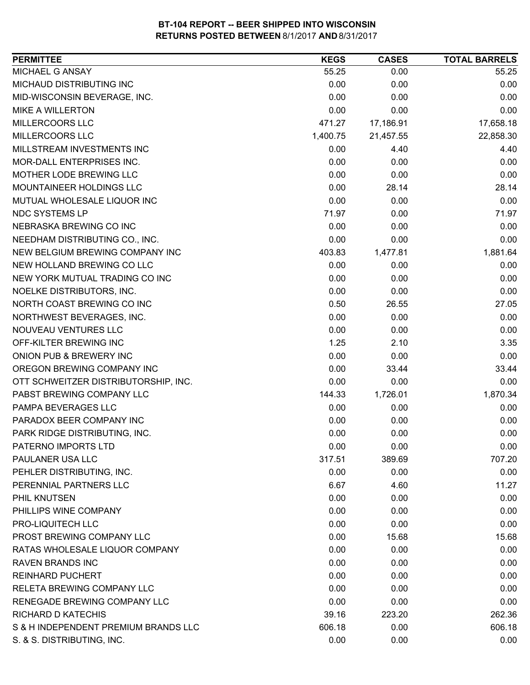| <b>PERMITTEE</b>                     | <b>KEGS</b> | <b>CASES</b> | <b>TOTAL BARRELS</b> |
|--------------------------------------|-------------|--------------|----------------------|
| MICHAEL G ANSAY                      | 55.25       | 0.00         | 55.25                |
| MICHAUD DISTRIBUTING INC             | 0.00        | 0.00         | 0.00                 |
| MID-WISCONSIN BEVERAGE, INC.         | 0.00        | 0.00         | 0.00                 |
| <b>MIKE A WILLERTON</b>              | 0.00        | 0.00         | 0.00                 |
| MILLERCOORS LLC                      | 471.27      | 17,186.91    | 17,658.18            |
| MILLERCOORS LLC                      | 1,400.75    | 21,457.55    | 22,858.30            |
| MILLSTREAM INVESTMENTS INC           | 0.00        | 4.40         | 4.40                 |
| MOR-DALL ENTERPRISES INC.            | 0.00        | 0.00         | 0.00                 |
| MOTHER LODE BREWING LLC              | 0.00        | 0.00         | 0.00                 |
| MOUNTAINEER HOLDINGS LLC             | 0.00        | 28.14        | 28.14                |
| MUTUAL WHOLESALE LIQUOR INC          | 0.00        | 0.00         | 0.00                 |
| NDC SYSTEMS LP                       | 71.97       | 0.00         | 71.97                |
| NEBRASKA BREWING CO INC              | 0.00        | 0.00         | 0.00                 |
| NEEDHAM DISTRIBUTING CO., INC.       | 0.00        | 0.00         | 0.00                 |
| NEW BELGIUM BREWING COMPANY INC      | 403.83      | 1,477.81     | 1,881.64             |
| NEW HOLLAND BREWING CO LLC           | 0.00        | 0.00         | 0.00                 |
| NEW YORK MUTUAL TRADING CO INC       | 0.00        | 0.00         | 0.00                 |
| NOELKE DISTRIBUTORS, INC.            | 0.00        | 0.00         | 0.00                 |
| NORTH COAST BREWING CO INC           | 0.50        | 26.55        | 27.05                |
| NORTHWEST BEVERAGES, INC.            | 0.00        | 0.00         | 0.00                 |
| NOUVEAU VENTURES LLC                 | 0.00        | 0.00         | 0.00                 |
| OFF-KILTER BREWING INC               | 1.25        | 2.10         | 3.35                 |
| ONION PUB & BREWERY INC              | 0.00        | 0.00         | 0.00                 |
| OREGON BREWING COMPANY INC           | 0.00        | 33.44        | 33.44                |
| OTT SCHWEITZER DISTRIBUTORSHIP, INC. | 0.00        | 0.00         | 0.00                 |
| PABST BREWING COMPANY LLC            | 144.33      | 1,726.01     | 1,870.34             |
| PAMPA BEVERAGES LLC                  | 0.00        | 0.00         | 0.00                 |
| PARADOX BEER COMPANY INC             | 0.00        | 0.00         | 0.00                 |
| PARK RIDGE DISTRIBUTING, INC.        | 0.00        | 0.00         | 0.00                 |
| PATERNO IMPORTS LTD                  | 0.00        | 0.00         | 0.00                 |
| PAULANER USA LLC                     | 317.51      | 389.69       | 707.20               |
| PEHLER DISTRIBUTING, INC.            | 0.00        | 0.00         | 0.00                 |
| PERENNIAL PARTNERS LLC               | 6.67        | 4.60         | 11.27                |
| PHIL KNUTSEN                         | 0.00        | 0.00         | 0.00                 |
| PHILLIPS WINE COMPANY                | 0.00        | 0.00         | 0.00                 |
| <b>PRO-LIQUITECH LLC</b>             | 0.00        | 0.00         | 0.00                 |
| PROST BREWING COMPANY LLC            | 0.00        | 15.68        | 15.68                |
| RATAS WHOLESALE LIQUOR COMPANY       | 0.00        | 0.00         | 0.00                 |
| <b>RAVEN BRANDS INC</b>              | 0.00        | 0.00         | 0.00                 |
| <b>REINHARD PUCHERT</b>              | 0.00        | 0.00         | 0.00                 |
| RELETA BREWING COMPANY LLC           | 0.00        | 0.00         | 0.00                 |
| RENEGADE BREWING COMPANY LLC         | 0.00        | 0.00         | 0.00                 |
| <b>RICHARD D KATECHIS</b>            | 39.16       | 223.20       | 262.36               |
| S & H INDEPENDENT PREMIUM BRANDS LLC | 606.18      | 0.00         | 606.18               |
| S. & S. DISTRIBUTING, INC.           | 0.00        | 0.00         | 0.00                 |
|                                      |             |              |                      |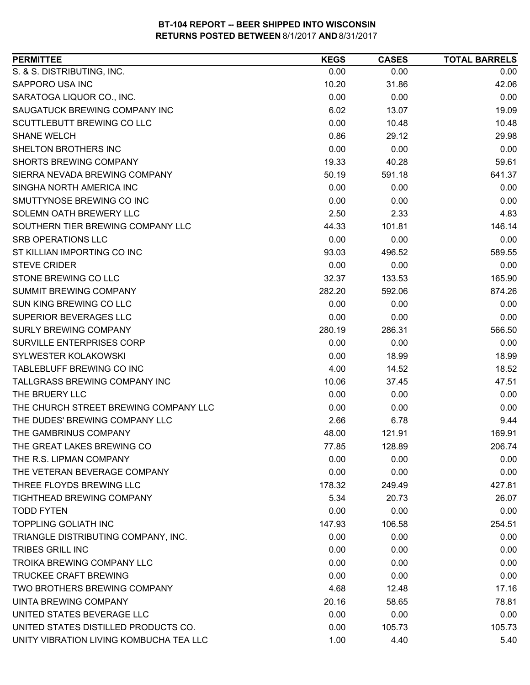| S. & S. DISTRIBUTING, INC.<br>0.00<br>0.00<br>0.00<br>SAPPORO USA INC<br>10.20<br>42.06<br>31.86<br>SARATOGA LIQUOR CO., INC.<br>0.00<br>0.00<br>0.00<br>6.02<br>SAUGATUCK BREWING COMPANY INC<br>13.07<br>19.09<br>SCUTTLEBUTT BREWING CO LLC<br>0.00<br>10.48<br>10.48<br><b>SHANE WELCH</b><br>0.86<br>29.12<br>29.98<br>SHELTON BROTHERS INC<br>0.00<br>0.00<br>0.00<br>SHORTS BREWING COMPANY<br>19.33<br>59.61<br>40.28<br>SIERRA NEVADA BREWING COMPANY<br>641.37<br>50.19<br>591.18<br>SINGHA NORTH AMERICA INC<br>0.00<br>0.00<br>0.00<br>SMUTTYNOSE BREWING CO INC<br>0.00<br>0.00<br>0.00<br>SOLEMN OATH BREWERY LLC<br>2.50<br>4.83<br>2.33<br>SOUTHERN TIER BREWING COMPANY LLC<br>44.33<br>101.81<br>146.14<br><b>SRB OPERATIONS LLC</b><br>0.00<br>0.00<br>0.00<br>ST KILLIAN IMPORTING CO INC<br>589.55<br>93.03<br>496.52<br><b>STEVE CRIDER</b><br>0.00<br>0.00<br>0.00<br>STONE BREWING CO LLC<br>32.37<br>133.53<br>165.90<br>SUMMIT BREWING COMPANY<br>874.26<br>282.20<br>592.06<br>SUN KING BREWING CO LLC<br>0.00<br>0.00<br>0.00<br>SUPERIOR BEVERAGES LLC<br>0.00<br>0.00<br>0.00<br>SURLY BREWING COMPANY<br>280.19<br>286.31<br>566.50<br>SURVILLE ENTERPRISES CORP<br>0.00<br>0.00<br>0.00<br>SYLWESTER KOLAKOWSKI<br>0.00<br>18.99<br>18.99<br>TABLEBLUFF BREWING CO INC<br>4.00<br>18.52<br>14.52<br>TALLGRASS BREWING COMPANY INC<br>10.06<br>47.51<br>37.45<br>THE BRUERY LLC<br>0.00<br>0.00<br>0.00<br>THE CHURCH STREET BREWING COMPANY LLC<br>0.00<br>0.00<br>0.00<br>THE DUDES' BREWING COMPANY LLC<br>2.66<br>6.78<br>9.44<br>THE GAMBRINUS COMPANY<br>169.91<br>48.00<br>121.91<br>THE GREAT LAKES BREWING CO<br>77.85<br>128.89<br>206.74<br>0.00<br>0.00<br>THE R.S. LIPMAN COMPANY<br>0.00<br>THE VETERAN BEVERAGE COMPANY<br>0.00<br>0.00<br>0.00<br>THREE FLOYDS BREWING LLC<br>178.32<br>249.49<br>427.81 |
|---------------------------------------------------------------------------------------------------------------------------------------------------------------------------------------------------------------------------------------------------------------------------------------------------------------------------------------------------------------------------------------------------------------------------------------------------------------------------------------------------------------------------------------------------------------------------------------------------------------------------------------------------------------------------------------------------------------------------------------------------------------------------------------------------------------------------------------------------------------------------------------------------------------------------------------------------------------------------------------------------------------------------------------------------------------------------------------------------------------------------------------------------------------------------------------------------------------------------------------------------------------------------------------------------------------------------------------------------------------------------------------------------------------------------------------------------------------------------------------------------------------------------------------------------------------------------------------------------------------------------------------------------------------------------------------------------------------------------------------------------------------------------------------------------------------------------------------------------------|
|                                                                                                                                                                                                                                                                                                                                                                                                                                                                                                                                                                                                                                                                                                                                                                                                                                                                                                                                                                                                                                                                                                                                                                                                                                                                                                                                                                                                                                                                                                                                                                                                                                                                                                                                                                                                                                                         |
|                                                                                                                                                                                                                                                                                                                                                                                                                                                                                                                                                                                                                                                                                                                                                                                                                                                                                                                                                                                                                                                                                                                                                                                                                                                                                                                                                                                                                                                                                                                                                                                                                                                                                                                                                                                                                                                         |
|                                                                                                                                                                                                                                                                                                                                                                                                                                                                                                                                                                                                                                                                                                                                                                                                                                                                                                                                                                                                                                                                                                                                                                                                                                                                                                                                                                                                                                                                                                                                                                                                                                                                                                                                                                                                                                                         |
|                                                                                                                                                                                                                                                                                                                                                                                                                                                                                                                                                                                                                                                                                                                                                                                                                                                                                                                                                                                                                                                                                                                                                                                                                                                                                                                                                                                                                                                                                                                                                                                                                                                                                                                                                                                                                                                         |
|                                                                                                                                                                                                                                                                                                                                                                                                                                                                                                                                                                                                                                                                                                                                                                                                                                                                                                                                                                                                                                                                                                                                                                                                                                                                                                                                                                                                                                                                                                                                                                                                                                                                                                                                                                                                                                                         |
|                                                                                                                                                                                                                                                                                                                                                                                                                                                                                                                                                                                                                                                                                                                                                                                                                                                                                                                                                                                                                                                                                                                                                                                                                                                                                                                                                                                                                                                                                                                                                                                                                                                                                                                                                                                                                                                         |
|                                                                                                                                                                                                                                                                                                                                                                                                                                                                                                                                                                                                                                                                                                                                                                                                                                                                                                                                                                                                                                                                                                                                                                                                                                                                                                                                                                                                                                                                                                                                                                                                                                                                                                                                                                                                                                                         |
|                                                                                                                                                                                                                                                                                                                                                                                                                                                                                                                                                                                                                                                                                                                                                                                                                                                                                                                                                                                                                                                                                                                                                                                                                                                                                                                                                                                                                                                                                                                                                                                                                                                                                                                                                                                                                                                         |
|                                                                                                                                                                                                                                                                                                                                                                                                                                                                                                                                                                                                                                                                                                                                                                                                                                                                                                                                                                                                                                                                                                                                                                                                                                                                                                                                                                                                                                                                                                                                                                                                                                                                                                                                                                                                                                                         |
|                                                                                                                                                                                                                                                                                                                                                                                                                                                                                                                                                                                                                                                                                                                                                                                                                                                                                                                                                                                                                                                                                                                                                                                                                                                                                                                                                                                                                                                                                                                                                                                                                                                                                                                                                                                                                                                         |
|                                                                                                                                                                                                                                                                                                                                                                                                                                                                                                                                                                                                                                                                                                                                                                                                                                                                                                                                                                                                                                                                                                                                                                                                                                                                                                                                                                                                                                                                                                                                                                                                                                                                                                                                                                                                                                                         |
|                                                                                                                                                                                                                                                                                                                                                                                                                                                                                                                                                                                                                                                                                                                                                                                                                                                                                                                                                                                                                                                                                                                                                                                                                                                                                                                                                                                                                                                                                                                                                                                                                                                                                                                                                                                                                                                         |
|                                                                                                                                                                                                                                                                                                                                                                                                                                                                                                                                                                                                                                                                                                                                                                                                                                                                                                                                                                                                                                                                                                                                                                                                                                                                                                                                                                                                                                                                                                                                                                                                                                                                                                                                                                                                                                                         |
|                                                                                                                                                                                                                                                                                                                                                                                                                                                                                                                                                                                                                                                                                                                                                                                                                                                                                                                                                                                                                                                                                                                                                                                                                                                                                                                                                                                                                                                                                                                                                                                                                                                                                                                                                                                                                                                         |
|                                                                                                                                                                                                                                                                                                                                                                                                                                                                                                                                                                                                                                                                                                                                                                                                                                                                                                                                                                                                                                                                                                                                                                                                                                                                                                                                                                                                                                                                                                                                                                                                                                                                                                                                                                                                                                                         |
|                                                                                                                                                                                                                                                                                                                                                                                                                                                                                                                                                                                                                                                                                                                                                                                                                                                                                                                                                                                                                                                                                                                                                                                                                                                                                                                                                                                                                                                                                                                                                                                                                                                                                                                                                                                                                                                         |
|                                                                                                                                                                                                                                                                                                                                                                                                                                                                                                                                                                                                                                                                                                                                                                                                                                                                                                                                                                                                                                                                                                                                                                                                                                                                                                                                                                                                                                                                                                                                                                                                                                                                                                                                                                                                                                                         |
|                                                                                                                                                                                                                                                                                                                                                                                                                                                                                                                                                                                                                                                                                                                                                                                                                                                                                                                                                                                                                                                                                                                                                                                                                                                                                                                                                                                                                                                                                                                                                                                                                                                                                                                                                                                                                                                         |
|                                                                                                                                                                                                                                                                                                                                                                                                                                                                                                                                                                                                                                                                                                                                                                                                                                                                                                                                                                                                                                                                                                                                                                                                                                                                                                                                                                                                                                                                                                                                                                                                                                                                                                                                                                                                                                                         |
|                                                                                                                                                                                                                                                                                                                                                                                                                                                                                                                                                                                                                                                                                                                                                                                                                                                                                                                                                                                                                                                                                                                                                                                                                                                                                                                                                                                                                                                                                                                                                                                                                                                                                                                                                                                                                                                         |
|                                                                                                                                                                                                                                                                                                                                                                                                                                                                                                                                                                                                                                                                                                                                                                                                                                                                                                                                                                                                                                                                                                                                                                                                                                                                                                                                                                                                                                                                                                                                                                                                                                                                                                                                                                                                                                                         |
|                                                                                                                                                                                                                                                                                                                                                                                                                                                                                                                                                                                                                                                                                                                                                                                                                                                                                                                                                                                                                                                                                                                                                                                                                                                                                                                                                                                                                                                                                                                                                                                                                                                                                                                                                                                                                                                         |
|                                                                                                                                                                                                                                                                                                                                                                                                                                                                                                                                                                                                                                                                                                                                                                                                                                                                                                                                                                                                                                                                                                                                                                                                                                                                                                                                                                                                                                                                                                                                                                                                                                                                                                                                                                                                                                                         |
|                                                                                                                                                                                                                                                                                                                                                                                                                                                                                                                                                                                                                                                                                                                                                                                                                                                                                                                                                                                                                                                                                                                                                                                                                                                                                                                                                                                                                                                                                                                                                                                                                                                                                                                                                                                                                                                         |
|                                                                                                                                                                                                                                                                                                                                                                                                                                                                                                                                                                                                                                                                                                                                                                                                                                                                                                                                                                                                                                                                                                                                                                                                                                                                                                                                                                                                                                                                                                                                                                                                                                                                                                                                                                                                                                                         |
|                                                                                                                                                                                                                                                                                                                                                                                                                                                                                                                                                                                                                                                                                                                                                                                                                                                                                                                                                                                                                                                                                                                                                                                                                                                                                                                                                                                                                                                                                                                                                                                                                                                                                                                                                                                                                                                         |
|                                                                                                                                                                                                                                                                                                                                                                                                                                                                                                                                                                                                                                                                                                                                                                                                                                                                                                                                                                                                                                                                                                                                                                                                                                                                                                                                                                                                                                                                                                                                                                                                                                                                                                                                                                                                                                                         |
|                                                                                                                                                                                                                                                                                                                                                                                                                                                                                                                                                                                                                                                                                                                                                                                                                                                                                                                                                                                                                                                                                                                                                                                                                                                                                                                                                                                                                                                                                                                                                                                                                                                                                                                                                                                                                                                         |
|                                                                                                                                                                                                                                                                                                                                                                                                                                                                                                                                                                                                                                                                                                                                                                                                                                                                                                                                                                                                                                                                                                                                                                                                                                                                                                                                                                                                                                                                                                                                                                                                                                                                                                                                                                                                                                                         |
|                                                                                                                                                                                                                                                                                                                                                                                                                                                                                                                                                                                                                                                                                                                                                                                                                                                                                                                                                                                                                                                                                                                                                                                                                                                                                                                                                                                                                                                                                                                                                                                                                                                                                                                                                                                                                                                         |
|                                                                                                                                                                                                                                                                                                                                                                                                                                                                                                                                                                                                                                                                                                                                                                                                                                                                                                                                                                                                                                                                                                                                                                                                                                                                                                                                                                                                                                                                                                                                                                                                                                                                                                                                                                                                                                                         |
|                                                                                                                                                                                                                                                                                                                                                                                                                                                                                                                                                                                                                                                                                                                                                                                                                                                                                                                                                                                                                                                                                                                                                                                                                                                                                                                                                                                                                                                                                                                                                                                                                                                                                                                                                                                                                                                         |
|                                                                                                                                                                                                                                                                                                                                                                                                                                                                                                                                                                                                                                                                                                                                                                                                                                                                                                                                                                                                                                                                                                                                                                                                                                                                                                                                                                                                                                                                                                                                                                                                                                                                                                                                                                                                                                                         |
| <b>TIGHTHEAD BREWING COMPANY</b><br>5.34<br>20.73<br>26.07                                                                                                                                                                                                                                                                                                                                                                                                                                                                                                                                                                                                                                                                                                                                                                                                                                                                                                                                                                                                                                                                                                                                                                                                                                                                                                                                                                                                                                                                                                                                                                                                                                                                                                                                                                                              |
| <b>TODD FYTEN</b><br>0.00<br>0.00<br>0.00                                                                                                                                                                                                                                                                                                                                                                                                                                                                                                                                                                                                                                                                                                                                                                                                                                                                                                                                                                                                                                                                                                                                                                                                                                                                                                                                                                                                                                                                                                                                                                                                                                                                                                                                                                                                               |
| <b>TOPPLING GOLIATH INC</b><br>147.93<br>106.58<br>254.51                                                                                                                                                                                                                                                                                                                                                                                                                                                                                                                                                                                                                                                                                                                                                                                                                                                                                                                                                                                                                                                                                                                                                                                                                                                                                                                                                                                                                                                                                                                                                                                                                                                                                                                                                                                               |
| TRIANGLE DISTRIBUTING COMPANY, INC.<br>0.00<br>0.00<br>0.00                                                                                                                                                                                                                                                                                                                                                                                                                                                                                                                                                                                                                                                                                                                                                                                                                                                                                                                                                                                                                                                                                                                                                                                                                                                                                                                                                                                                                                                                                                                                                                                                                                                                                                                                                                                             |
| <b>TRIBES GRILL INC</b><br>0.00<br>0.00<br>0.00                                                                                                                                                                                                                                                                                                                                                                                                                                                                                                                                                                                                                                                                                                                                                                                                                                                                                                                                                                                                                                                                                                                                                                                                                                                                                                                                                                                                                                                                                                                                                                                                                                                                                                                                                                                                         |
| <b>TROIKA BREWING COMPANY LLC</b><br>0.00<br>0.00<br>0.00                                                                                                                                                                                                                                                                                                                                                                                                                                                                                                                                                                                                                                                                                                                                                                                                                                                                                                                                                                                                                                                                                                                                                                                                                                                                                                                                                                                                                                                                                                                                                                                                                                                                                                                                                                                               |
| <b>TRUCKEE CRAFT BREWING</b><br>0.00<br>0.00<br>0.00                                                                                                                                                                                                                                                                                                                                                                                                                                                                                                                                                                                                                                                                                                                                                                                                                                                                                                                                                                                                                                                                                                                                                                                                                                                                                                                                                                                                                                                                                                                                                                                                                                                                                                                                                                                                    |
| TWO BROTHERS BREWING COMPANY<br>4.68<br>12.48<br>17.16                                                                                                                                                                                                                                                                                                                                                                                                                                                                                                                                                                                                                                                                                                                                                                                                                                                                                                                                                                                                                                                                                                                                                                                                                                                                                                                                                                                                                                                                                                                                                                                                                                                                                                                                                                                                  |
| UINTA BREWING COMPANY<br>20.16<br>78.81<br>58.65                                                                                                                                                                                                                                                                                                                                                                                                                                                                                                                                                                                                                                                                                                                                                                                                                                                                                                                                                                                                                                                                                                                                                                                                                                                                                                                                                                                                                                                                                                                                                                                                                                                                                                                                                                                                        |
| 0.00<br>UNITED STATES BEVERAGE LLC<br>0.00<br>0.00                                                                                                                                                                                                                                                                                                                                                                                                                                                                                                                                                                                                                                                                                                                                                                                                                                                                                                                                                                                                                                                                                                                                                                                                                                                                                                                                                                                                                                                                                                                                                                                                                                                                                                                                                                                                      |
| UNITED STATES DISTILLED PRODUCTS CO.<br>0.00<br>105.73<br>105.73                                                                                                                                                                                                                                                                                                                                                                                                                                                                                                                                                                                                                                                                                                                                                                                                                                                                                                                                                                                                                                                                                                                                                                                                                                                                                                                                                                                                                                                                                                                                                                                                                                                                                                                                                                                        |
| UNITY VIBRATION LIVING KOMBUCHA TEA LLC<br>1.00<br>4.40<br>5.40                                                                                                                                                                                                                                                                                                                                                                                                                                                                                                                                                                                                                                                                                                                                                                                                                                                                                                                                                                                                                                                                                                                                                                                                                                                                                                                                                                                                                                                                                                                                                                                                                                                                                                                                                                                         |